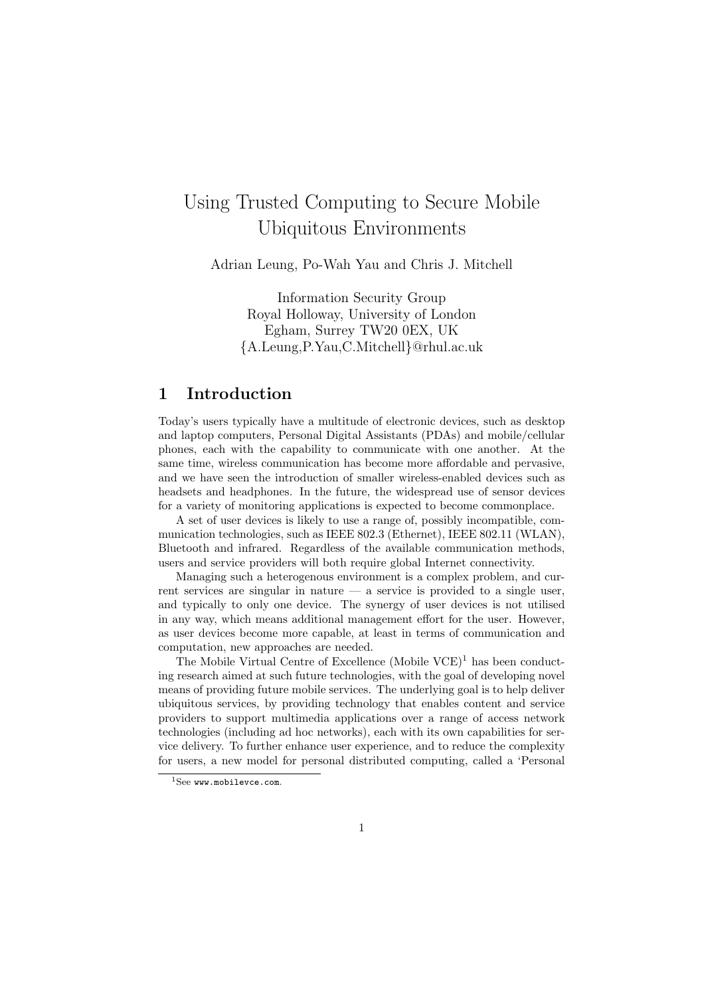# Using Trusted Computing to Secure Mobile Ubiquitous Environments

Adrian Leung, Po-Wah Yau and Chris J. Mitchell

Information Security Group Royal Holloway, University of London Egham, Surrey TW20 0EX, UK {A.Leung,P.Yau,C.Mitchell}@rhul.ac.uk

# 1 Introduction

Today's users typically have a multitude of electronic devices, such as desktop and laptop computers, Personal Digital Assistants (PDAs) and mobile/cellular phones, each with the capability to communicate with one another. At the same time, wireless communication has become more affordable and pervasive, and we have seen the introduction of smaller wireless-enabled devices such as headsets and headphones. In the future, the widespread use of sensor devices for a variety of monitoring applications is expected to become commonplace.

A set of user devices is likely to use a range of, possibly incompatible, communication technologies, such as IEEE 802.3 (Ethernet), IEEE 802.11 (WLAN), Bluetooth and infrared. Regardless of the available communication methods, users and service providers will both require global Internet connectivity.

Managing such a heterogenous environment is a complex problem, and current services are singular in nature — a service is provided to a single user, and typically to only one device. The synergy of user devices is not utilised in any way, which means additional management effort for the user. However, as user devices become more capable, at least in terms of communication and computation, new approaches are needed.

The Mobile Virtual Centre of Excellence  $(Mobile VCE)^1$  has been conducting research aimed at such future technologies, with the goal of developing novel means of providing future mobile services. The underlying goal is to help deliver ubiquitous services, by providing technology that enables content and service providers to support multimedia applications over a range of access network technologies (including ad hoc networks), each with its own capabilities for service delivery. To further enhance user experience, and to reduce the complexity for users, a new model for personal distributed computing, called a 'Personal

 $1$ See www.mobilevce.com.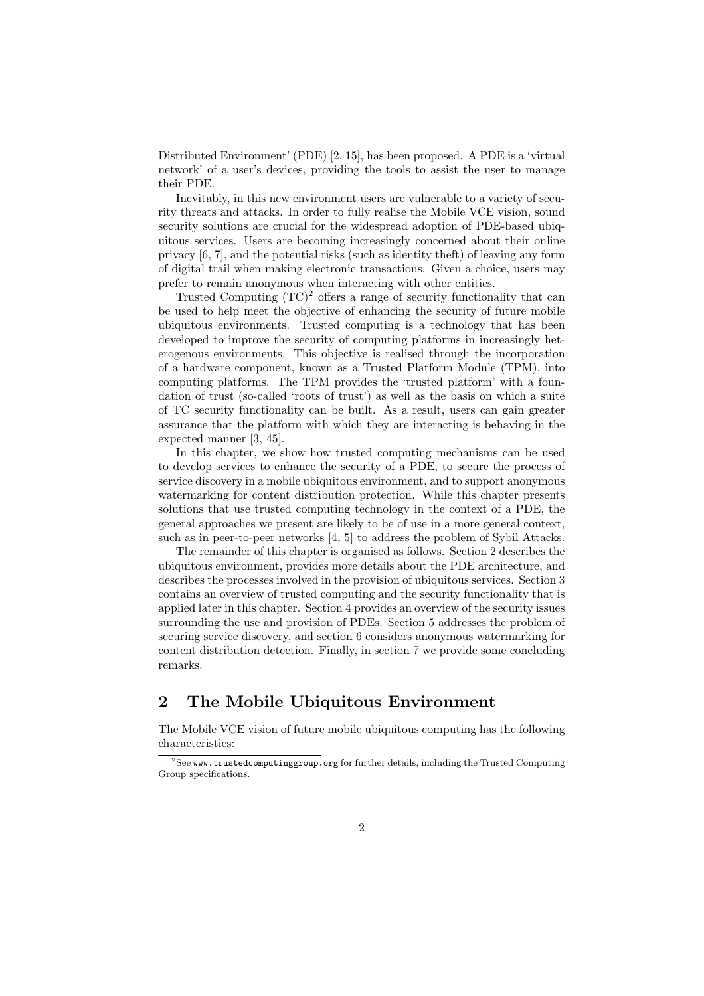Distributed Environment' (PDE) [2, 15], has been proposed. A PDE is a 'virtual network' of a user's devices, providing the tools to assist the user to manage their PDE.

Inevitably, in this new environment users are vulnerable to a variety of security threats and attacks. In order to fully realise the Mobile VCE vision, sound security solutions are crucial for the widespread adoption of PDE-based ubiquitous services. Users are becoming increasingly concerned about their online privacy [6, 7], and the potential risks (such as identity theft) of leaving any form of digital trail when making electronic transactions. Given a choice, users may prefer to remain anonymous when interacting with other entities.

Trusted Computing  $(TC)^2$  offers a range of security functionality that can be used to help meet the objective of enhancing the security of future mobile ubiquitous environments. Trusted computing is a technology that has been developed to improve the security of computing platforms in increasingly heterogenous environments. This objective is realised through the incorporation of a hardware component, known as a Trusted Platform Module (TPM), into computing platforms. The TPM provides the 'trusted platform' with a foundation of trust (so-called 'roots of trust') as well as the basis on which a suite of TC security functionality can be built. As a result, users can gain greater assurance that the platform with which they are interacting is behaving in the expected manner [3, 45].

In this chapter, we show how trusted computing mechanisms can be used to develop services to enhance the security of a PDE, to secure the process of service discovery in a mobile ubiquitous environment, and to support anonymous watermarking for content distribution protection. While this chapter presents solutions that use trusted computing technology in the context of a PDE, the general approaches we present are likely to be of use in a more general context, such as in peer-to-peer networks [4, 5] to address the problem of Sybil Attacks.

The remainder of this chapter is organised as follows. Section 2 describes the ubiquitous environment, provides more details about the PDE architecture, and describes the processes involved in the provision of ubiquitous services. Section 3 contains an overview of trusted computing and the security functionality that is applied later in this chapter. Section 4 provides an overview of the security issues surrounding the use and provision of PDEs. Section 5 addresses the problem of securing service discovery, and section 6 considers anonymous watermarking for content distribution detection. Finally, in section 7 we provide some concluding remarks.

# 2 The Mobile Ubiquitous Environment

The Mobile VCE vision of future mobile ubiquitous computing has the following characteristics:

 $2$ See www.trustedcomputinggroup.org for further details, including the Trusted Computing Group specifications.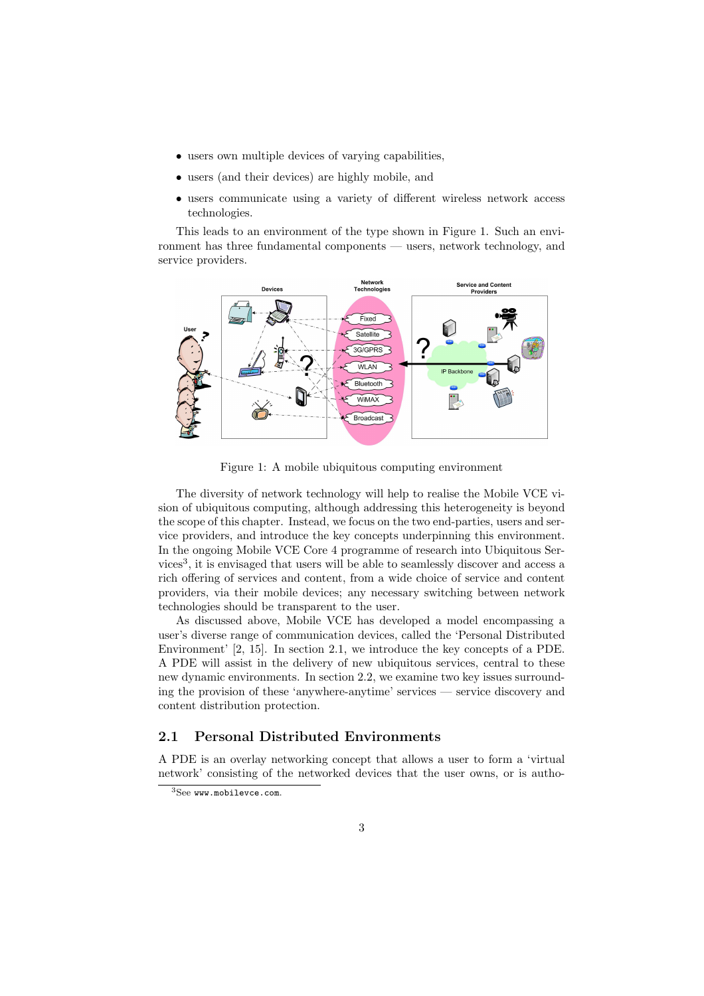- users own multiple devices of varying capabilities,
- users (and their devices) are highly mobile, and
- users communicate using a variety of different wireless network access technologies.

This leads to an environment of the type shown in Figure 1. Such an environment has three fundamental components — users, network technology, and service providers.



Figure 1: A mobile ubiquitous computing environment

The diversity of network technology will help to realise the Mobile VCE vision of ubiquitous computing, although addressing this heterogeneity is beyond the scope of this chapter. Instead, we focus on the two end-parties, users and service providers, and introduce the key concepts underpinning this environment. In the ongoing Mobile VCE Core 4 programme of research into Ubiquitous Services<sup>3</sup>, it is envisaged that users will be able to seamlessly discover and access a rich offering of services and content, from a wide choice of service and content providers, via their mobile devices; any necessary switching between network technologies should be transparent to the user.

As discussed above, Mobile VCE has developed a model encompassing a user's diverse range of communication devices, called the 'Personal Distributed Environment' [2, 15]. In section 2.1, we introduce the key concepts of a PDE. A PDE will assist in the delivery of new ubiquitous services, central to these new dynamic environments. In section 2.2, we examine two key issues surrounding the provision of these 'anywhere-anytime' services — service discovery and content distribution protection.

# 2.1 Personal Distributed Environments

A PDE is an overlay networking concept that allows a user to form a 'virtual network' consisting of the networked devices that the user owns, or is autho-

<sup>3</sup>See www.mobilevce.com.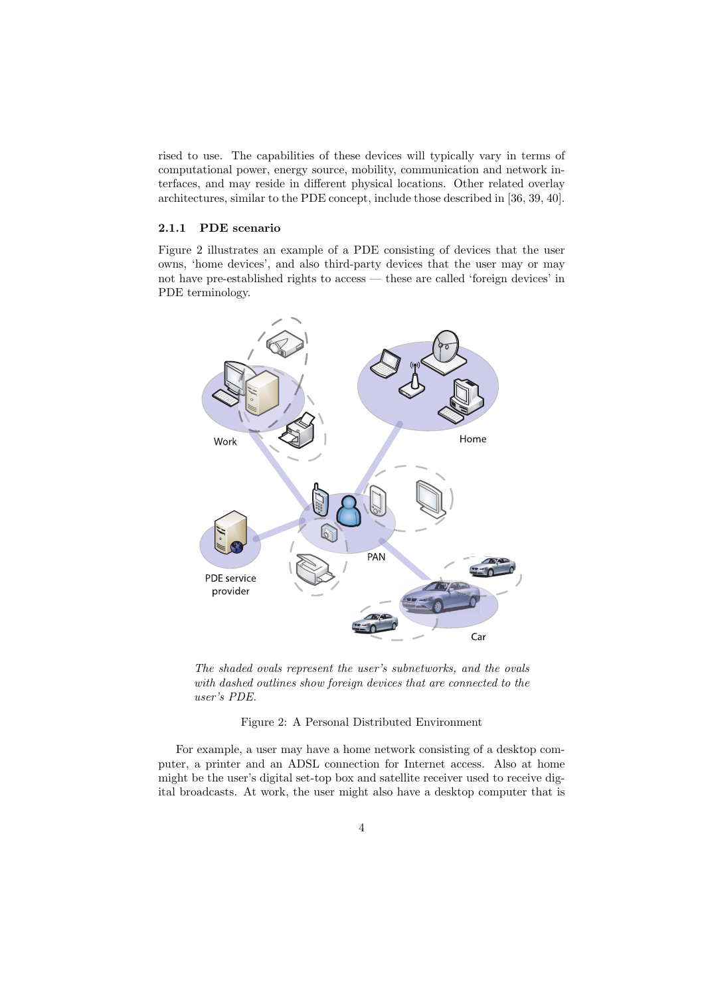rised to use. The capabilities of these devices will typically vary in terms of computational power, energy source, mobility, communication and network interfaces, and may reside in different physical locations. Other related overlay architectures, similar to the PDE concept, include those described in [36, 39, 40].

#### 2.1.1 PDE scenario

Figure 2 illustrates an example of a PDE consisting of devices that the user owns, 'home devices', and also third-party devices that the user may or may not have pre-established rights to access — these are called 'foreign devices' in PDE terminology.



The shaded ovals represent the user's subnetworks, and the ovals with dashed outlines show foreign devices that are connected to the user's PDE.

#### Figure 2: A Personal Distributed Environment

For example, a user may have a home network consisting of a desktop computer, a printer and an ADSL connection for Internet access. Also at home might be the user's digital set-top box and satellite receiver used to receive digital broadcasts. At work, the user might also have a desktop computer that is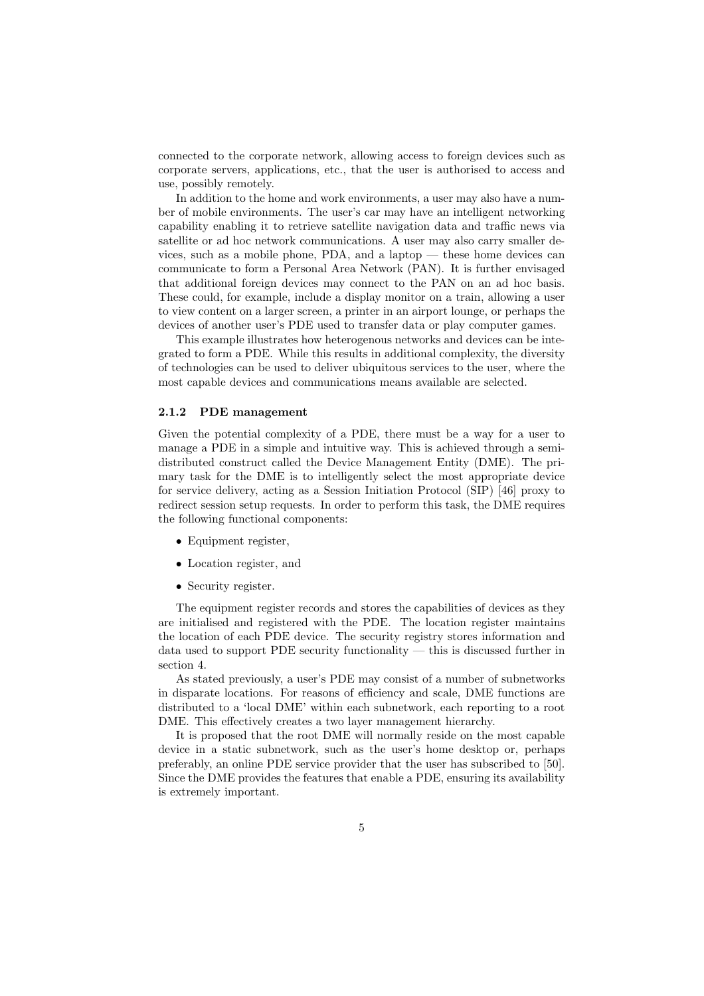connected to the corporate network, allowing access to foreign devices such as corporate servers, applications, etc., that the user is authorised to access and use, possibly remotely.

In addition to the home and work environments, a user may also have a number of mobile environments. The user's car may have an intelligent networking capability enabling it to retrieve satellite navigation data and traffic news via satellite or ad hoc network communications. A user may also carry smaller devices, such as a mobile phone, PDA, and a laptop — these home devices can communicate to form a Personal Area Network (PAN). It is further envisaged that additional foreign devices may connect to the PAN on an ad hoc basis. These could, for example, include a display monitor on a train, allowing a user to view content on a larger screen, a printer in an airport lounge, or perhaps the devices of another user's PDE used to transfer data or play computer games.

This example illustrates how heterogenous networks and devices can be integrated to form a PDE. While this results in additional complexity, the diversity of technologies can be used to deliver ubiquitous services to the user, where the most capable devices and communications means available are selected.

### 2.1.2 PDE management

Given the potential complexity of a PDE, there must be a way for a user to manage a PDE in a simple and intuitive way. This is achieved through a semidistributed construct called the Device Management Entity (DME). The primary task for the DME is to intelligently select the most appropriate device for service delivery, acting as a Session Initiation Protocol (SIP) [46] proxy to redirect session setup requests. In order to perform this task, the DME requires the following functional components:

- Equipment register,
- Location register, and
- Security register.

The equipment register records and stores the capabilities of devices as they are initialised and registered with the PDE. The location register maintains the location of each PDE device. The security registry stores information and data used to support PDE security functionality — this is discussed further in section 4.

As stated previously, a user's PDE may consist of a number of subnetworks in disparate locations. For reasons of efficiency and scale, DME functions are distributed to a 'local DME' within each subnetwork, each reporting to a root DME. This effectively creates a two layer management hierarchy.

It is proposed that the root DME will normally reside on the most capable device in a static subnetwork, such as the user's home desktop or, perhaps preferably, an online PDE service provider that the user has subscribed to [50]. Since the DME provides the features that enable a PDE, ensuring its availability is extremely important.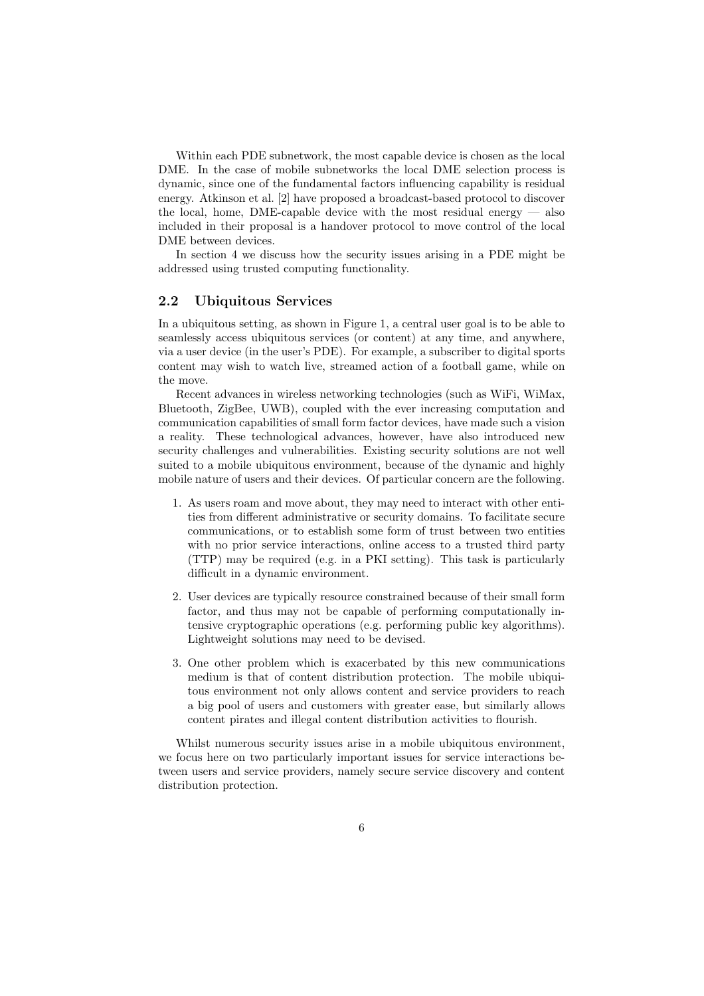Within each PDE subnetwork, the most capable device is chosen as the local DME. In the case of mobile subnetworks the local DME selection process is dynamic, since one of the fundamental factors influencing capability is residual energy. Atkinson et al. [2] have proposed a broadcast-based protocol to discover the local, home, DME-capable device with the most residual energy  $-$  also included in their proposal is a handover protocol to move control of the local DME between devices.

In section 4 we discuss how the security issues arising in a PDE might be addressed using trusted computing functionality.

### 2.2 Ubiquitous Services

In a ubiquitous setting, as shown in Figure 1, a central user goal is to be able to seamlessly access ubiquitous services (or content) at any time, and anywhere, via a user device (in the user's PDE). For example, a subscriber to digital sports content may wish to watch live, streamed action of a football game, while on the move.

Recent advances in wireless networking technologies (such as WiFi, WiMax, Bluetooth, ZigBee, UWB), coupled with the ever increasing computation and communication capabilities of small form factor devices, have made such a vision a reality. These technological advances, however, have also introduced new security challenges and vulnerabilities. Existing security solutions are not well suited to a mobile ubiquitous environment, because of the dynamic and highly mobile nature of users and their devices. Of particular concern are the following.

- 1. As users roam and move about, they may need to interact with other entities from different administrative or security domains. To facilitate secure communications, or to establish some form of trust between two entities with no prior service interactions, online access to a trusted third party (TTP) may be required (e.g. in a PKI setting). This task is particularly difficult in a dynamic environment.
- 2. User devices are typically resource constrained because of their small form factor, and thus may not be capable of performing computationally intensive cryptographic operations (e.g. performing public key algorithms). Lightweight solutions may need to be devised.
- 3. One other problem which is exacerbated by this new communications medium is that of content distribution protection. The mobile ubiquitous environment not only allows content and service providers to reach a big pool of users and customers with greater ease, but similarly allows content pirates and illegal content distribution activities to flourish.

Whilst numerous security issues arise in a mobile ubiquitous environment, we focus here on two particularly important issues for service interactions between users and service providers, namely secure service discovery and content distribution protection.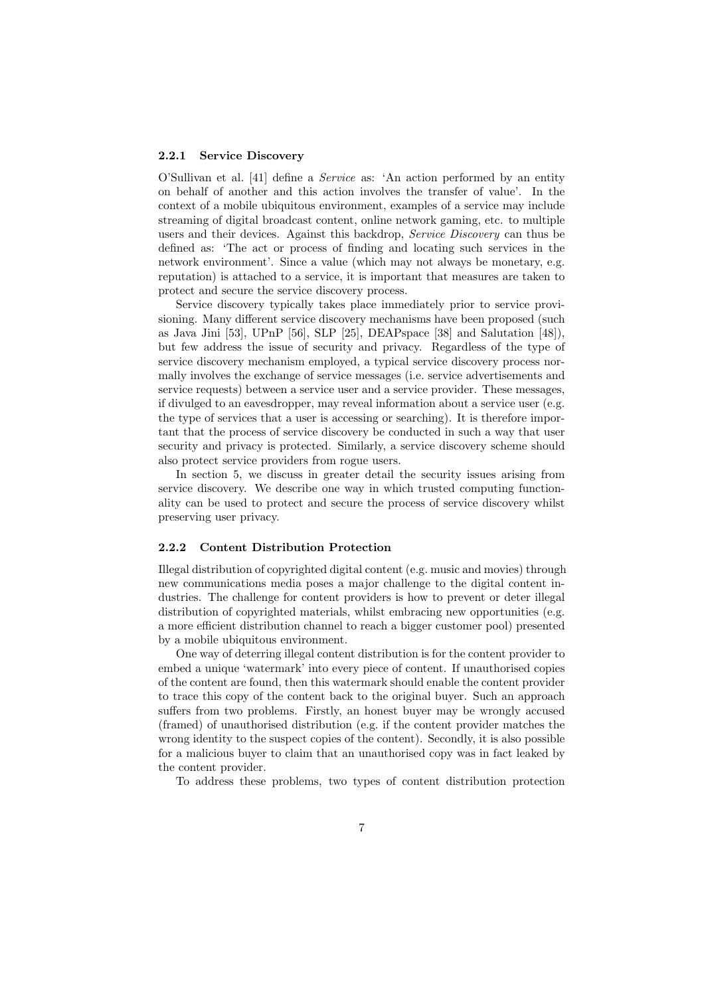#### 2.2.1 Service Discovery

O'Sullivan et al. [41] define a Service as: 'An action performed by an entity on behalf of another and this action involves the transfer of value'. In the context of a mobile ubiquitous environment, examples of a service may include streaming of digital broadcast content, online network gaming, etc. to multiple users and their devices. Against this backdrop, Service Discovery can thus be defined as: 'The act or process of finding and locating such services in the network environment'. Since a value (which may not always be monetary, e.g. reputation) is attached to a service, it is important that measures are taken to protect and secure the service discovery process.

Service discovery typically takes place immediately prior to service provisioning. Many different service discovery mechanisms have been proposed (such as Java Jini [53], UPnP [56], SLP [25], DEAPspace [38] and Salutation [48]), but few address the issue of security and privacy. Regardless of the type of service discovery mechanism employed, a typical service discovery process normally involves the exchange of service messages (i.e. service advertisements and service requests) between a service user and a service provider. These messages, if divulged to an eavesdropper, may reveal information about a service user (e.g. the type of services that a user is accessing or searching). It is therefore important that the process of service discovery be conducted in such a way that user security and privacy is protected. Similarly, a service discovery scheme should also protect service providers from rogue users.

In section 5, we discuss in greater detail the security issues arising from service discovery. We describe one way in which trusted computing functionality can be used to protect and secure the process of service discovery whilst preserving user privacy.

### 2.2.2 Content Distribution Protection

Illegal distribution of copyrighted digital content (e.g. music and movies) through new communications media poses a major challenge to the digital content industries. The challenge for content providers is how to prevent or deter illegal distribution of copyrighted materials, whilst embracing new opportunities (e.g. a more efficient distribution channel to reach a bigger customer pool) presented by a mobile ubiquitous environment.

One way of deterring illegal content distribution is for the content provider to embed a unique 'watermark' into every piece of content. If unauthorised copies of the content are found, then this watermark should enable the content provider to trace this copy of the content back to the original buyer. Such an approach suffers from two problems. Firstly, an honest buyer may be wrongly accused (framed) of unauthorised distribution (e.g. if the content provider matches the wrong identity to the suspect copies of the content). Secondly, it is also possible for a malicious buyer to claim that an unauthorised copy was in fact leaked by the content provider.

To address these problems, two types of content distribution protection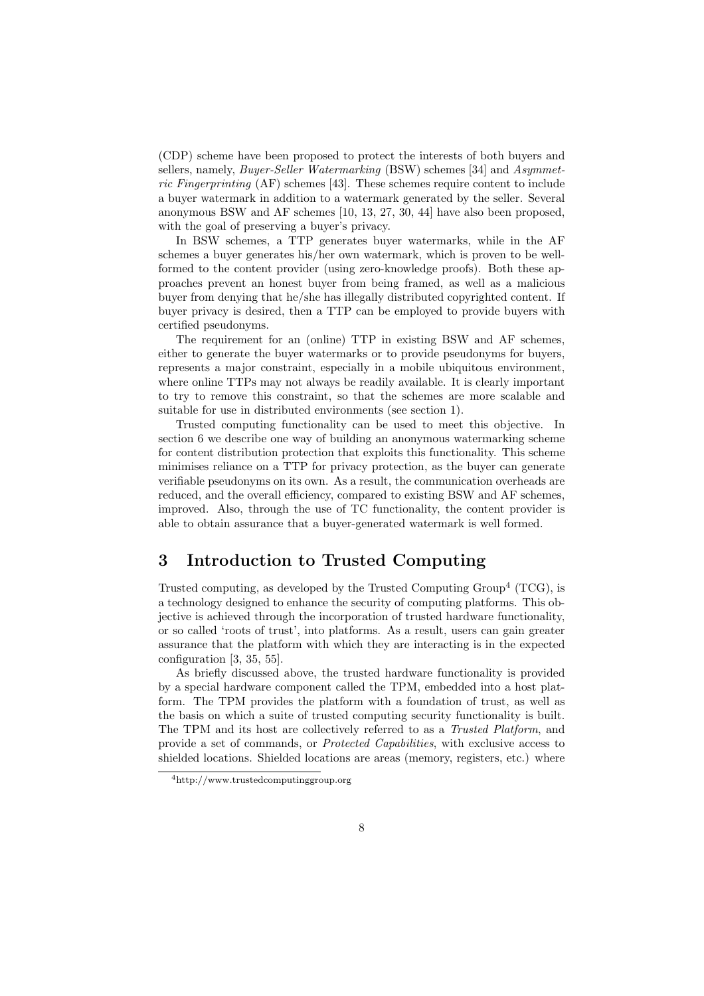(CDP) scheme have been proposed to protect the interests of both buyers and sellers, namely, Buyer-Seller Watermarking (BSW) schemes [34] and Asymmetric Fingerprinting (AF) schemes [43]. These schemes require content to include a buyer watermark in addition to a watermark generated by the seller. Several anonymous BSW and AF schemes [10, 13, 27, 30, 44] have also been proposed, with the goal of preserving a buyer's privacy.

In BSW schemes, a TTP generates buyer watermarks, while in the AF schemes a buyer generates his/her own watermark, which is proven to be wellformed to the content provider (using zero-knowledge proofs). Both these approaches prevent an honest buyer from being framed, as well as a malicious buyer from denying that he/she has illegally distributed copyrighted content. If buyer privacy is desired, then a TTP can be employed to provide buyers with certified pseudonyms.

The requirement for an (online) TTP in existing BSW and AF schemes, either to generate the buyer watermarks or to provide pseudonyms for buyers, represents a major constraint, especially in a mobile ubiquitous environment, where online TTPs may not always be readily available. It is clearly important to try to remove this constraint, so that the schemes are more scalable and suitable for use in distributed environments (see section 1).

Trusted computing functionality can be used to meet this objective. In section 6 we describe one way of building an anonymous watermarking scheme for content distribution protection that exploits this functionality. This scheme minimises reliance on a TTP for privacy protection, as the buyer can generate verifiable pseudonyms on its own. As a result, the communication overheads are reduced, and the overall efficiency, compared to existing BSW and AF schemes, improved. Also, through the use of TC functionality, the content provider is able to obtain assurance that a buyer-generated watermark is well formed.

# 3 Introduction to Trusted Computing

Trusted computing, as developed by the Trusted Computing  $Group<sup>4</sup> (TCG)$ , is a technology designed to enhance the security of computing platforms. This objective is achieved through the incorporation of trusted hardware functionality, or so called 'roots of trust', into platforms. As a result, users can gain greater assurance that the platform with which they are interacting is in the expected configuration [3, 35, 55].

As briefly discussed above, the trusted hardware functionality is provided by a special hardware component called the TPM, embedded into a host platform. The TPM provides the platform with a foundation of trust, as well as the basis on which a suite of trusted computing security functionality is built. The TPM and its host are collectively referred to as a Trusted Platform, and provide a set of commands, or Protected Capabilities, with exclusive access to shielded locations. Shielded locations are areas (memory, registers, etc.) where

<sup>4</sup>http://www.trustedcomputinggroup.org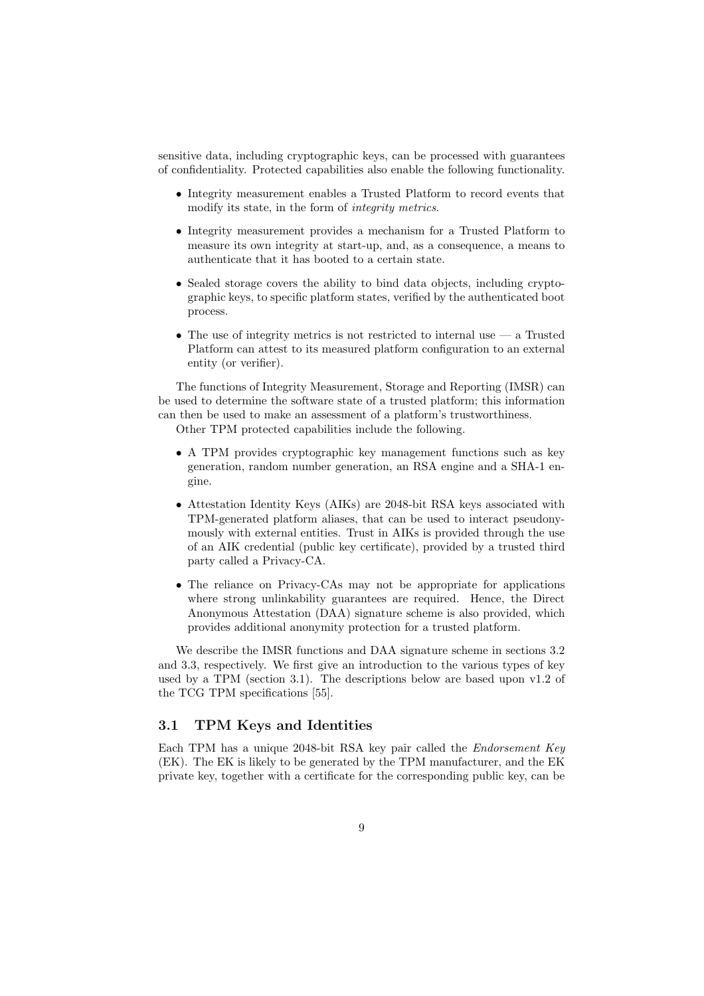sensitive data, including cryptographic keys, can be processed with guarantees of confidentiality. Protected capabilities also enable the following functionality.

- Integrity measurement enables a Trusted Platform to record events that modify its state, in the form of *integrity metrics*.
- Integrity measurement provides a mechanism for a Trusted Platform to measure its own integrity at start-up, and, as a consequence, a means to authenticate that it has booted to a certain state.
- Sealed storage covers the ability to bind data objects, including cryptographic keys, to specific platform states, verified by the authenticated boot process.
- The use of integrity metrics is not restricted to internal use  $-$  a Trusted Platform can attest to its measured platform configuration to an external entity (or verifier).

The functions of Integrity Measurement, Storage and Reporting (IMSR) can be used to determine the software state of a trusted platform; this information can then be used to make an assessment of a platform's trustworthiness. Other TPM protected capabilities include the following.

- A TPM provides cryptographic key management functions such as key generation, random number generation, an RSA engine and a SHA-1 engine.
- Attestation Identity Keys (AIKs) are 2048-bit RSA keys associated with TPM-generated platform aliases, that can be used to interact pseudonymously with external entities. Trust in AIKs is provided through the use of an AIK credential (public key certificate), provided by a trusted third party called a Privacy-CA.
- The reliance on Privacy-CAs may not be appropriate for applications where strong unlinkability guarantees are required. Hence, the Direct Anonymous Attestation (DAA) signature scheme is also provided, which provides additional anonymity protection for a trusted platform.

We describe the IMSR functions and DAA signature scheme in sections 3.2 and 3.3, respectively. We first give an introduction to the various types of key used by a TPM (section 3.1). The descriptions below are based upon v1.2 of the TCG TPM specifications [55].

# 3.1 TPM Keys and Identities

Each TPM has a unique 2048-bit RSA key pair called the Endorsement Key (EK). The EK is likely to be generated by the TPM manufacturer, and the EK private key, together with a certificate for the corresponding public key, can be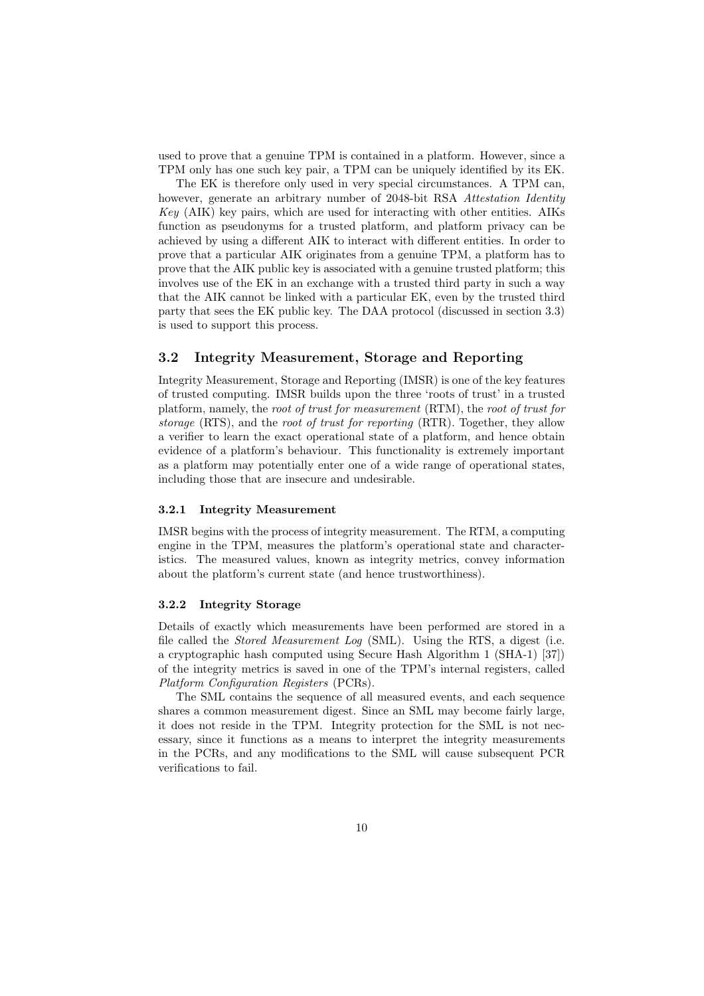used to prove that a genuine TPM is contained in a platform. However, since a TPM only has one such key pair, a TPM can be uniquely identified by its EK.

The EK is therefore only used in very special circumstances. A TPM can, however, generate an arbitrary number of 2048-bit RSA Attestation Identity  $Key$  (AIK) key pairs, which are used for interacting with other entities. AIKs function as pseudonyms for a trusted platform, and platform privacy can be achieved by using a different AIK to interact with different entities. In order to prove that a particular AIK originates from a genuine TPM, a platform has to prove that the AIK public key is associated with a genuine trusted platform; this involves use of the EK in an exchange with a trusted third party in such a way that the AIK cannot be linked with a particular EK, even by the trusted third party that sees the EK public key. The DAA protocol (discussed in section 3.3) is used to support this process.

# 3.2 Integrity Measurement, Storage and Reporting

Integrity Measurement, Storage and Reporting (IMSR) is one of the key features of trusted computing. IMSR builds upon the three 'roots of trust' in a trusted platform, namely, the root of trust for measurement (RTM), the root of trust for storage (RTS), and the root of trust for reporting (RTR). Together, they allow a verifier to learn the exact operational state of a platform, and hence obtain evidence of a platform's behaviour. This functionality is extremely important as a platform may potentially enter one of a wide range of operational states, including those that are insecure and undesirable.

### 3.2.1 Integrity Measurement

IMSR begins with the process of integrity measurement. The RTM, a computing engine in the TPM, measures the platform's operational state and characteristics. The measured values, known as integrity metrics, convey information about the platform's current state (and hence trustworthiness).

### 3.2.2 Integrity Storage

Details of exactly which measurements have been performed are stored in a file called the Stored Measurement Log (SML). Using the RTS, a digest (i.e. a cryptographic hash computed using Secure Hash Algorithm 1 (SHA-1) [37]) of the integrity metrics is saved in one of the TPM's internal registers, called Platform Configuration Registers (PCRs).

The SML contains the sequence of all measured events, and each sequence shares a common measurement digest. Since an SML may become fairly large, it does not reside in the TPM. Integrity protection for the SML is not necessary, since it functions as a means to interpret the integrity measurements in the PCRs, and any modifications to the SML will cause subsequent PCR verifications to fail.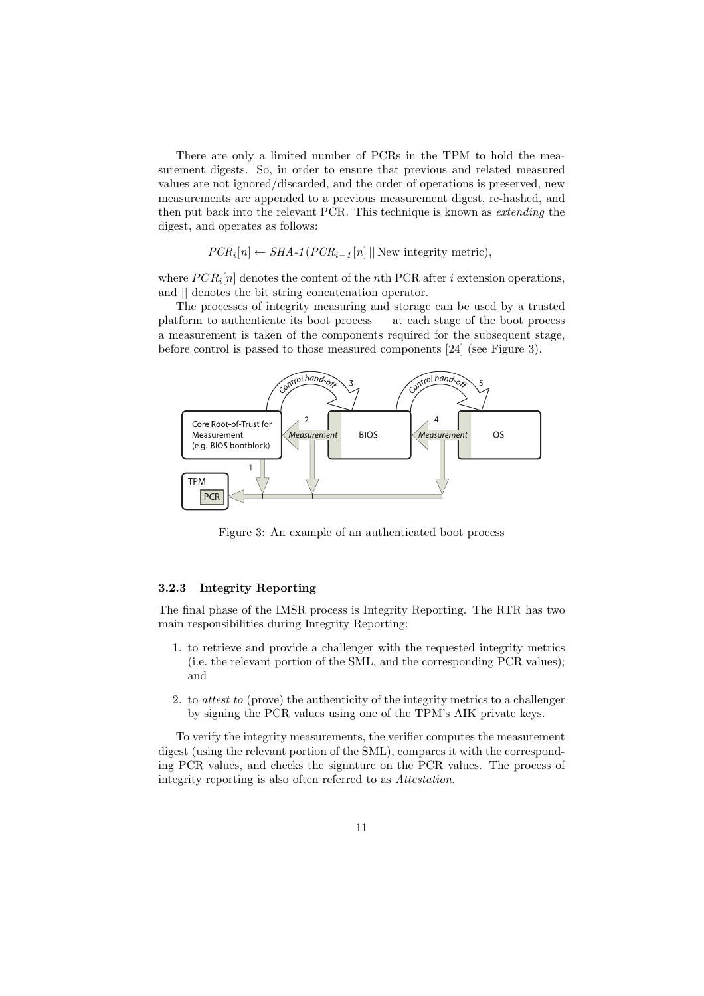There are only a limited number of PCRs in the TPM to hold the measurement digests. So, in order to ensure that previous and related measured values are not ignored/discarded, and the order of operations is preserved, new measurements are appended to a previous measurement digest, re-hashed, and then put back into the relevant PCR. This technique is known as extending the digest, and operates as follows:

$$
PCR_i[n] \leftarrow SHA\text{-}1 (PCR_{i-1}[n] || \text{New integrity metric}),
$$

where  $PCR<sub>i</sub>[n]$  denotes the content of the nth PCR after i extension operations, and  $\parallel$  denotes the bit string concatenation operator.

The processes of integrity measuring and storage can be used by a trusted platform to authenticate its boot process — at each stage of the boot process a measurement is taken of the components required for the subsequent stage, before control is passed to those measured components [24] (see Figure 3).



Figure 3: An example of an authenticated boot process

# 3.2.3 Integrity Reporting

The final phase of the IMSR process is Integrity Reporting. The RTR has two main responsibilities during Integrity Reporting:

- 1. to retrieve and provide a challenger with the requested integrity metrics (i.e. the relevant portion of the SML, and the corresponding PCR values); and
- 2. to attest to (prove) the authenticity of the integrity metrics to a challenger by signing the PCR values using one of the TPM's AIK private keys.

To verify the integrity measurements, the verifier computes the measurement digest (using the relevant portion of the SML), compares it with the corresponding PCR values, and checks the signature on the PCR values. The process of integrity reporting is also often referred to as Attestation.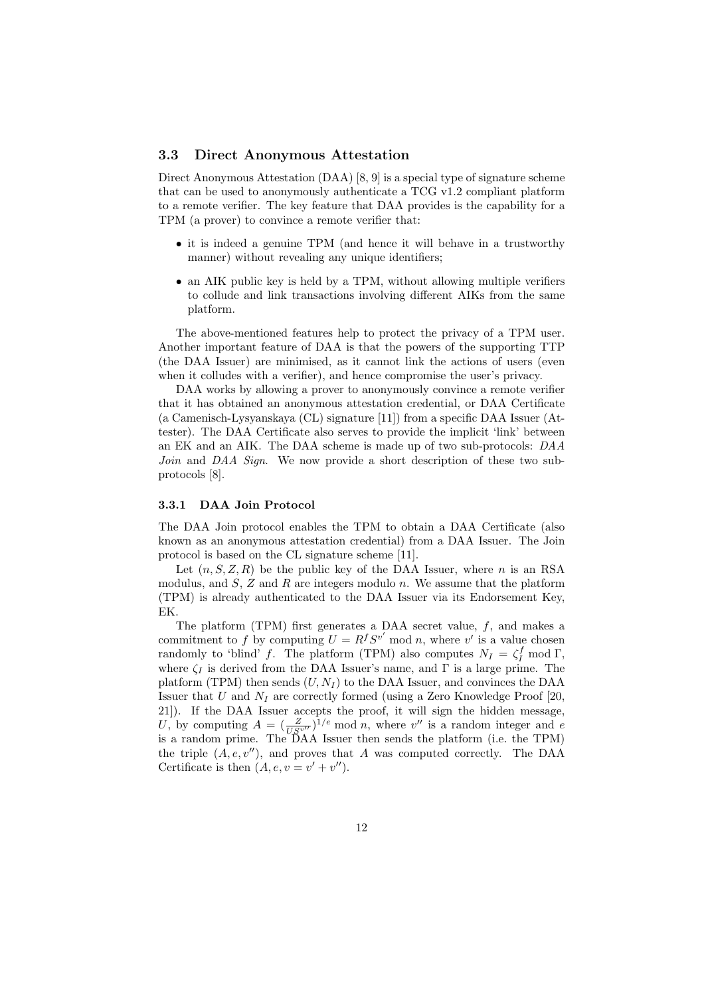## 3.3 Direct Anonymous Attestation

Direct Anonymous Attestation (DAA) [8, 9] is a special type of signature scheme that can be used to anonymously authenticate a TCG v1.2 compliant platform to a remote verifier. The key feature that DAA provides is the capability for a TPM (a prover) to convince a remote verifier that:

- it is indeed a genuine TPM (and hence it will behave in a trustworthy manner) without revealing any unique identifiers;
- an AIK public key is held by a TPM, without allowing multiple verifiers to collude and link transactions involving different AIKs from the same platform.

The above-mentioned features help to protect the privacy of a TPM user. Another important feature of DAA is that the powers of the supporting TTP (the DAA Issuer) are minimised, as it cannot link the actions of users (even when it colludes with a verifier), and hence compromise the user's privacy.

DAA works by allowing a prover to anonymously convince a remote verifier that it has obtained an anonymous attestation credential, or DAA Certificate (a Camenisch-Lysyanskaya (CL) signature [11]) from a specific DAA Issuer (Attester). The DAA Certificate also serves to provide the implicit 'link' between an EK and an AIK. The DAA scheme is made up of two sub-protocols: DAA Join and DAA Sign. We now provide a short description of these two subprotocols [8].

### 3.3.1 DAA Join Protocol

The DAA Join protocol enables the TPM to obtain a DAA Certificate (also known as an anonymous attestation credential) from a DAA Issuer. The Join protocol is based on the CL signature scheme [11].

Let  $(n, S, Z, R)$  be the public key of the DAA Issuer, where n is an RSA modulus, and  $S$ ,  $Z$  and  $R$  are integers modulo  $n$ . We assume that the platform (TPM) is already authenticated to the DAA Issuer via its Endorsement Key, EK.

The platform (TPM) first generates a DAA secret value,  $f$ , and makes a commitment to f by computing  $U = R^f S^{v'}$  mod n, where v' is a value chosen randomly to 'blind' f. The platform (TPM) also computes  $N_I = \zeta_I^f \mod \Gamma$ , where  $\zeta_I$  is derived from the DAA Issuer's name, and  $\Gamma$  is a large prime. The platform (TPM) then sends  $(U, N_I)$  to the DAA Issuer, and convinces the DAA Issuer that U and  $N_I$  are correctly formed (using a Zero Knowledge Proof [20, 21]). If the DAA Issuer accepts the proof, it will sign the hidden message, U, by computing  $A = \left(\frac{Z}{US^{v''}}\right)^{1/e}$  mod n, where v'' is a random integer and e is a random prime. The DAA Issuer then sends the platform (i.e. the TPM) the triple  $(A, e, v'')$ , and proves that A was computed correctly. The DAA Certificate is then  $(A, e, v = v' + v'')$ .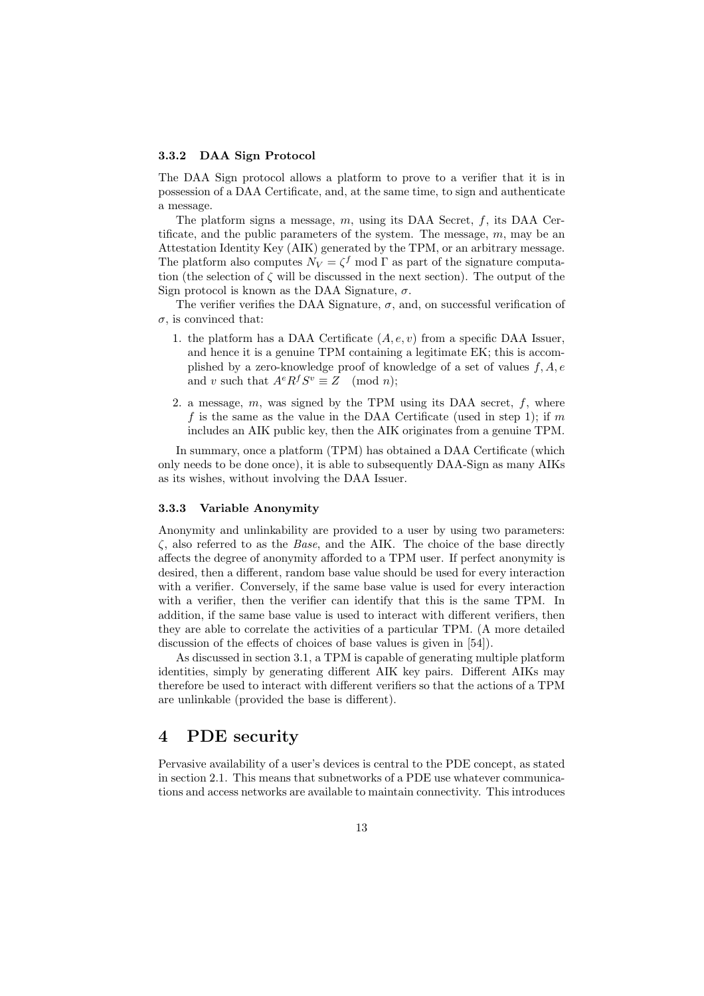#### 3.3.2 DAA Sign Protocol

The DAA Sign protocol allows a platform to prove to a verifier that it is in possession of a DAA Certificate, and, at the same time, to sign and authenticate a message.

The platform signs a message,  $m$ , using its DAA Secret,  $f$ , its DAA Certificate, and the public parameters of the system. The message,  $m$ , may be an Attestation Identity Key (AIK) generated by the TPM, or an arbitrary message. The platform also computes  $N_V = \zeta^f \mod \Gamma$  as part of the signature computation (the selection of  $\zeta$  will be discussed in the next section). The output of the Sign protocol is known as the DAA Signature,  $\sigma$ .

The verifier verifies the DAA Signature,  $\sigma$ , and, on successful verification of  $\sigma$ , is convinced that:

- 1. the platform has a DAA Certificate  $(A, e, v)$  from a specific DAA Issuer, and hence it is a genuine TPM containing a legitimate EK; this is accomplished by a zero-knowledge proof of knowledge of a set of values  $f, A, e$ and v such that  $A^e R^f S^v \equiv Z \pmod{n}$ ;
- 2. a message,  $m$ , was signed by the TPM using its DAA secret,  $f$ , where f is the same as the value in the DAA Certificate (used in step 1); if m includes an AIK public key, then the AIK originates from a genuine TPM.

In summary, once a platform (TPM) has obtained a DAA Certificate (which only needs to be done once), it is able to subsequently DAA-Sign as many AIKs as its wishes, without involving the DAA Issuer.

#### 3.3.3 Variable Anonymity

Anonymity and unlinkability are provided to a user by using two parameters:  $\zeta$ , also referred to as the *Base*, and the AIK. The choice of the base directly affects the degree of anonymity afforded to a TPM user. If perfect anonymity is desired, then a different, random base value should be used for every interaction with a verifier. Conversely, if the same base value is used for every interaction with a verifier, then the verifier can identify that this is the same TPM. In addition, if the same base value is used to interact with different verifiers, then they are able to correlate the activities of a particular TPM. (A more detailed discussion of the effects of choices of base values is given in [54]).

As discussed in section 3.1, a TPM is capable of generating multiple platform identities, simply by generating different AIK key pairs. Different AIKs may therefore be used to interact with different verifiers so that the actions of a TPM are unlinkable (provided the base is different).

# 4 PDE security

Pervasive availability of a user's devices is central to the PDE concept, as stated in section 2.1. This means that subnetworks of a PDE use whatever communications and access networks are available to maintain connectivity. This introduces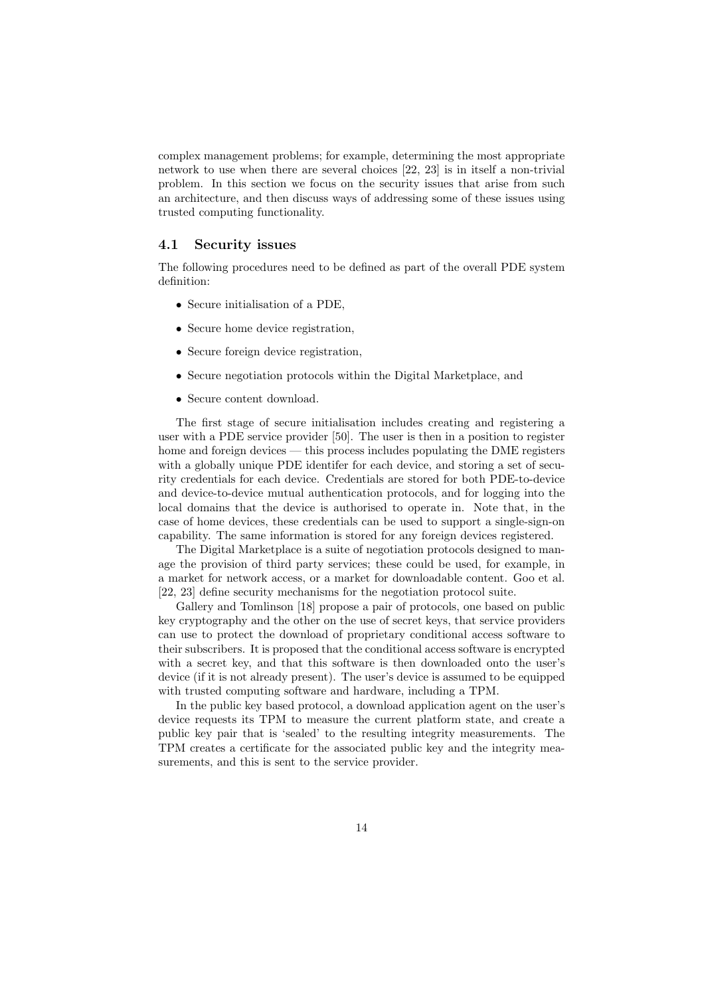complex management problems; for example, determining the most appropriate network to use when there are several choices [22, 23] is in itself a non-trivial problem. In this section we focus on the security issues that arise from such an architecture, and then discuss ways of addressing some of these issues using trusted computing functionality.

### 4.1 Security issues

The following procedures need to be defined as part of the overall PDE system definition:

- Secure initialisation of a PDE,
- Secure home device registration,
- Secure foreign device registration.
- Secure negotiation protocols within the Digital Marketplace, and
- Secure content download.

The first stage of secure initialisation includes creating and registering a user with a PDE service provider [50]. The user is then in a position to register home and foreign devices — this process includes populating the DME registers with a globally unique PDE identifer for each device, and storing a set of security credentials for each device. Credentials are stored for both PDE-to-device and device-to-device mutual authentication protocols, and for logging into the local domains that the device is authorised to operate in. Note that, in the case of home devices, these credentials can be used to support a single-sign-on capability. The same information is stored for any foreign devices registered.

The Digital Marketplace is a suite of negotiation protocols designed to manage the provision of third party services; these could be used, for example, in a market for network access, or a market for downloadable content. Goo et al. [22, 23] define security mechanisms for the negotiation protocol suite.

Gallery and Tomlinson [18] propose a pair of protocols, one based on public key cryptography and the other on the use of secret keys, that service providers can use to protect the download of proprietary conditional access software to their subscribers. It is proposed that the conditional access software is encrypted with a secret key, and that this software is then downloaded onto the user's device (if it is not already present). The user's device is assumed to be equipped with trusted computing software and hardware, including a TPM.

In the public key based protocol, a download application agent on the user's device requests its TPM to measure the current platform state, and create a public key pair that is 'sealed' to the resulting integrity measurements. The TPM creates a certificate for the associated public key and the integrity measurements, and this is sent to the service provider.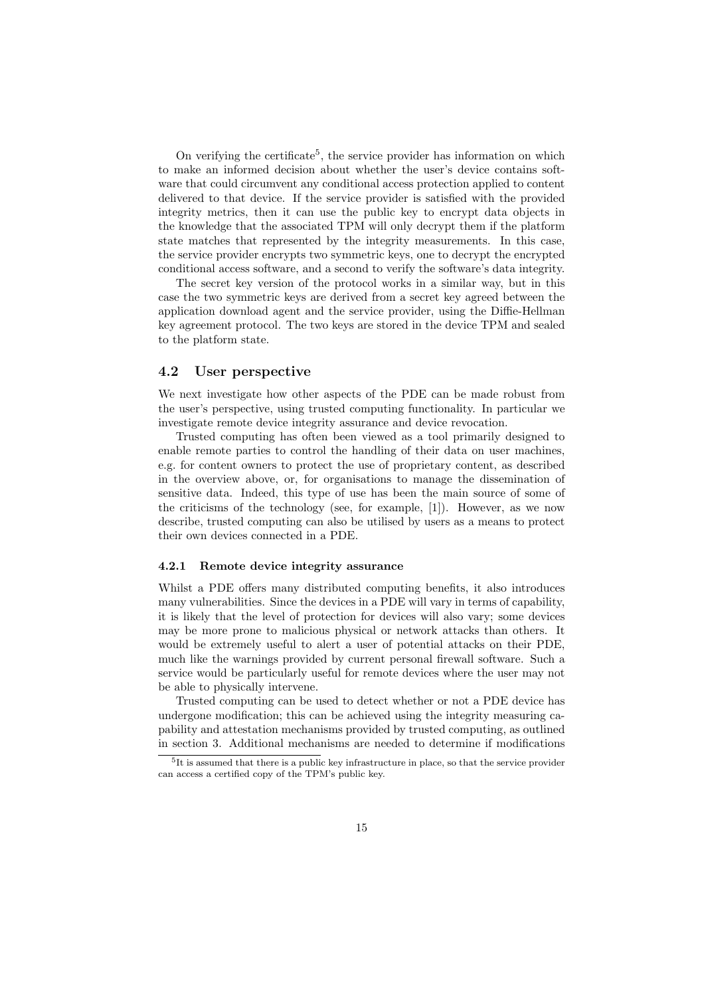On verifying the certificate<sup>5</sup>, the service provider has information on which to make an informed decision about whether the user's device contains software that could circumvent any conditional access protection applied to content delivered to that device. If the service provider is satisfied with the provided integrity metrics, then it can use the public key to encrypt data objects in the knowledge that the associated TPM will only decrypt them if the platform state matches that represented by the integrity measurements. In this case, the service provider encrypts two symmetric keys, one to decrypt the encrypted conditional access software, and a second to verify the software's data integrity.

The secret key version of the protocol works in a similar way, but in this case the two symmetric keys are derived from a secret key agreed between the application download agent and the service provider, using the Diffie-Hellman key agreement protocol. The two keys are stored in the device TPM and sealed to the platform state.

# 4.2 User perspective

We next investigate how other aspects of the PDE can be made robust from the user's perspective, using trusted computing functionality. In particular we investigate remote device integrity assurance and device revocation.

Trusted computing has often been viewed as a tool primarily designed to enable remote parties to control the handling of their data on user machines, e.g. for content owners to protect the use of proprietary content, as described in the overview above, or, for organisations to manage the dissemination of sensitive data. Indeed, this type of use has been the main source of some of the criticisms of the technology (see, for example, [1]). However, as we now describe, trusted computing can also be utilised by users as a means to protect their own devices connected in a PDE.

### 4.2.1 Remote device integrity assurance

Whilst a PDE offers many distributed computing benefits, it also introduces many vulnerabilities. Since the devices in a PDE will vary in terms of capability, it is likely that the level of protection for devices will also vary; some devices may be more prone to malicious physical or network attacks than others. It would be extremely useful to alert a user of potential attacks on their PDE, much like the warnings provided by current personal firewall software. Such a service would be particularly useful for remote devices where the user may not be able to physically intervene.

Trusted computing can be used to detect whether or not a PDE device has undergone modification; this can be achieved using the integrity measuring capability and attestation mechanisms provided by trusted computing, as outlined in section 3. Additional mechanisms are needed to determine if modifications

 ${}^{5}$ It is assumed that there is a public key infrastructure in place, so that the service provider can access a certified copy of the TPM's public key.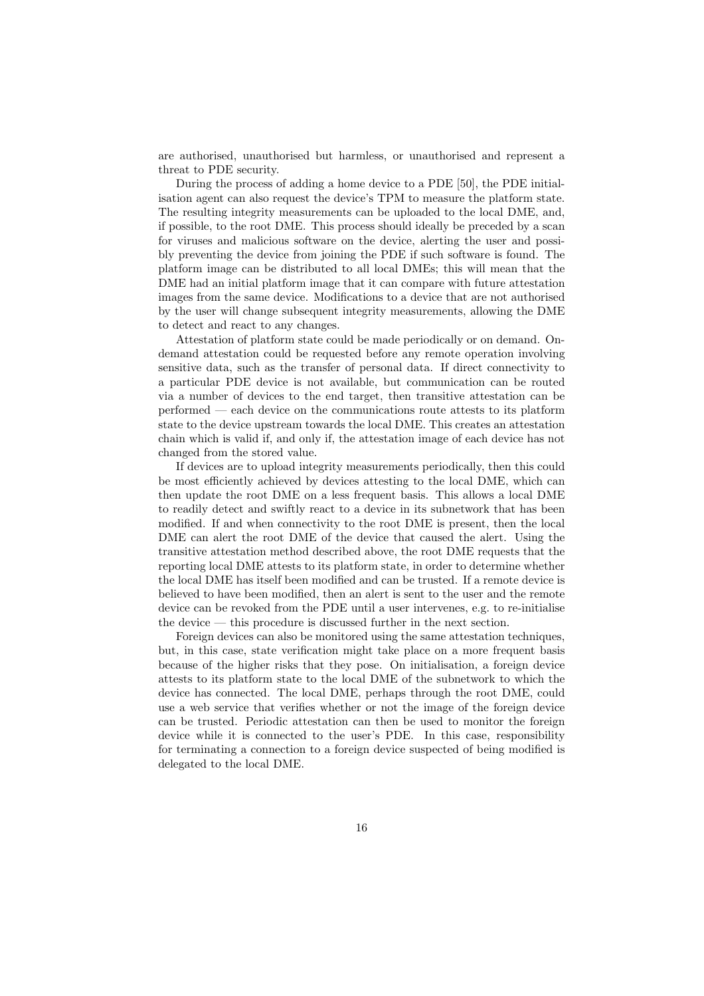are authorised, unauthorised but harmless, or unauthorised and represent a threat to PDE security.

During the process of adding a home device to a PDE [50], the PDE initialisation agent can also request the device's TPM to measure the platform state. The resulting integrity measurements can be uploaded to the local DME, and, if possible, to the root DME. This process should ideally be preceded by a scan for viruses and malicious software on the device, alerting the user and possibly preventing the device from joining the PDE if such software is found. The platform image can be distributed to all local DMEs; this will mean that the DME had an initial platform image that it can compare with future attestation images from the same device. Modifications to a device that are not authorised by the user will change subsequent integrity measurements, allowing the DME to detect and react to any changes.

Attestation of platform state could be made periodically or on demand. Ondemand attestation could be requested before any remote operation involving sensitive data, such as the transfer of personal data. If direct connectivity to a particular PDE device is not available, but communication can be routed via a number of devices to the end target, then transitive attestation can be performed — each device on the communications route attests to its platform state to the device upstream towards the local DME. This creates an attestation chain which is valid if, and only if, the attestation image of each device has not changed from the stored value.

If devices are to upload integrity measurements periodically, then this could be most efficiently achieved by devices attesting to the local DME, which can then update the root DME on a less frequent basis. This allows a local DME to readily detect and swiftly react to a device in its subnetwork that has been modified. If and when connectivity to the root DME is present, then the local DME can alert the root DME of the device that caused the alert. Using the transitive attestation method described above, the root DME requests that the reporting local DME attests to its platform state, in order to determine whether the local DME has itself been modified and can be trusted. If a remote device is believed to have been modified, then an alert is sent to the user and the remote device can be revoked from the PDE until a user intervenes, e.g. to re-initialise the device — this procedure is discussed further in the next section.

Foreign devices can also be monitored using the same attestation techniques, but, in this case, state verification might take place on a more frequent basis because of the higher risks that they pose. On initialisation, a foreign device attests to its platform state to the local DME of the subnetwork to which the device has connected. The local DME, perhaps through the root DME, could use a web service that verifies whether or not the image of the foreign device can be trusted. Periodic attestation can then be used to monitor the foreign device while it is connected to the user's PDE. In this case, responsibility for terminating a connection to a foreign device suspected of being modified is delegated to the local DME.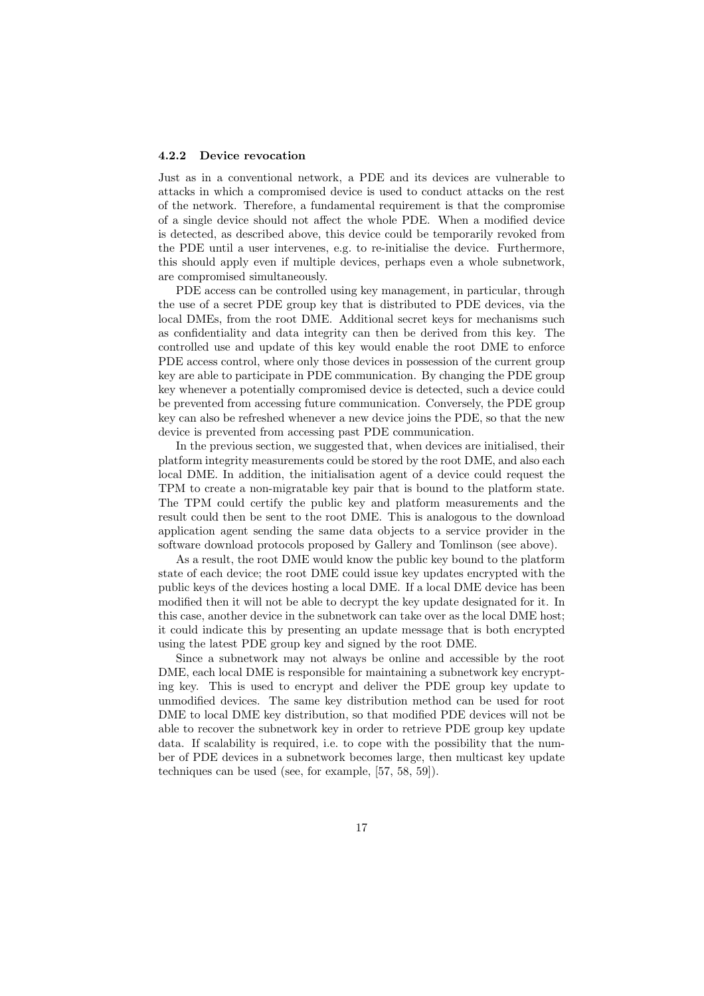#### 4.2.2 Device revocation

Just as in a conventional network, a PDE and its devices are vulnerable to attacks in which a compromised device is used to conduct attacks on the rest of the network. Therefore, a fundamental requirement is that the compromise of a single device should not affect the whole PDE. When a modified device is detected, as described above, this device could be temporarily revoked from the PDE until a user intervenes, e.g. to re-initialise the device. Furthermore, this should apply even if multiple devices, perhaps even a whole subnetwork, are compromised simultaneously.

PDE access can be controlled using key management, in particular, through the use of a secret PDE group key that is distributed to PDE devices, via the local DMEs, from the root DME. Additional secret keys for mechanisms such as confidentiality and data integrity can then be derived from this key. The controlled use and update of this key would enable the root DME to enforce PDE access control, where only those devices in possession of the current group key are able to participate in PDE communication. By changing the PDE group key whenever a potentially compromised device is detected, such a device could be prevented from accessing future communication. Conversely, the PDE group key can also be refreshed whenever a new device joins the PDE, so that the new device is prevented from accessing past PDE communication.

In the previous section, we suggested that, when devices are initialised, their platform integrity measurements could be stored by the root DME, and also each local DME. In addition, the initialisation agent of a device could request the TPM to create a non-migratable key pair that is bound to the platform state. The TPM could certify the public key and platform measurements and the result could then be sent to the root DME. This is analogous to the download application agent sending the same data objects to a service provider in the software download protocols proposed by Gallery and Tomlinson (see above).

As a result, the root DME would know the public key bound to the platform state of each device; the root DME could issue key updates encrypted with the public keys of the devices hosting a local DME. If a local DME device has been modified then it will not be able to decrypt the key update designated for it. In this case, another device in the subnetwork can take over as the local DME host; it could indicate this by presenting an update message that is both encrypted using the latest PDE group key and signed by the root DME.

Since a subnetwork may not always be online and accessible by the root DME, each local DME is responsible for maintaining a subnetwork key encrypting key. This is used to encrypt and deliver the PDE group key update to unmodified devices. The same key distribution method can be used for root DME to local DME key distribution, so that modified PDE devices will not be able to recover the subnetwork key in order to retrieve PDE group key update data. If scalability is required, i.e. to cope with the possibility that the number of PDE devices in a subnetwork becomes large, then multicast key update techniques can be used (see, for example, [57, 58, 59]).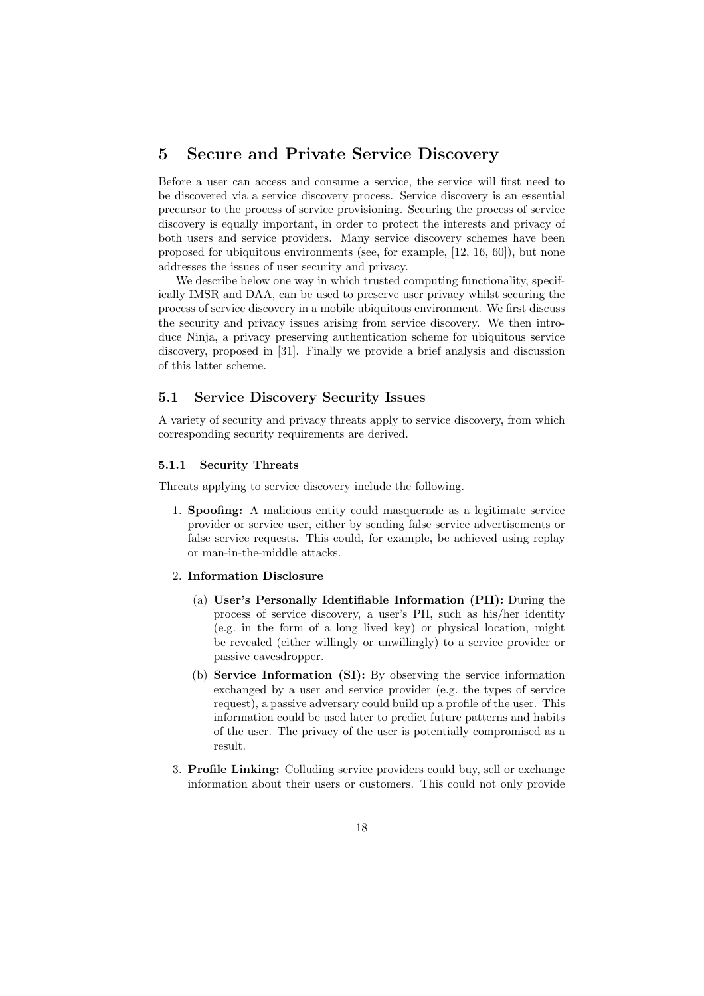# 5 Secure and Private Service Discovery

Before a user can access and consume a service, the service will first need to be discovered via a service discovery process. Service discovery is an essential precursor to the process of service provisioning. Securing the process of service discovery is equally important, in order to protect the interests and privacy of both users and service providers. Many service discovery schemes have been proposed for ubiquitous environments (see, for example, [12, 16, 60]), but none addresses the issues of user security and privacy.

We describe below one way in which trusted computing functionality, specifically IMSR and DAA, can be used to preserve user privacy whilst securing the process of service discovery in a mobile ubiquitous environment. We first discuss the security and privacy issues arising from service discovery. We then introduce Ninja, a privacy preserving authentication scheme for ubiquitous service discovery, proposed in [31]. Finally we provide a brief analysis and discussion of this latter scheme.

# 5.1 Service Discovery Security Issues

A variety of security and privacy threats apply to service discovery, from which corresponding security requirements are derived.

### 5.1.1 Security Threats

Threats applying to service discovery include the following.

1. Spoofing: A malicious entity could masquerade as a legitimate service provider or service user, either by sending false service advertisements or false service requests. This could, for example, be achieved using replay or man-in-the-middle attacks.

### 2. Information Disclosure

- (a) User's Personally Identifiable Information (PII): During the process of service discovery, a user's PII, such as his/her identity (e.g. in the form of a long lived key) or physical location, might be revealed (either willingly or unwillingly) to a service provider or passive eavesdropper.
- (b) Service Information (SI): By observing the service information exchanged by a user and service provider (e.g. the types of service request), a passive adversary could build up a profile of the user. This information could be used later to predict future patterns and habits of the user. The privacy of the user is potentially compromised as a result.
- 3. Profile Linking: Colluding service providers could buy, sell or exchange information about their users or customers. This could not only provide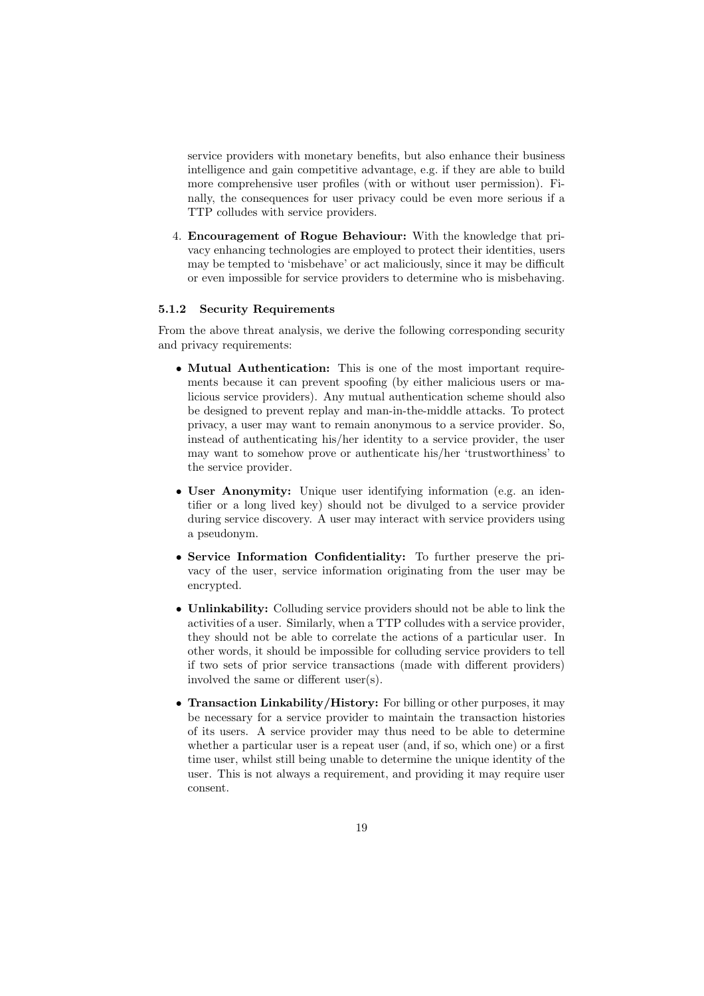service providers with monetary benefits, but also enhance their business intelligence and gain competitive advantage, e.g. if they are able to build more comprehensive user profiles (with or without user permission). Finally, the consequences for user privacy could be even more serious if a TTP colludes with service providers.

4. Encouragement of Rogue Behaviour: With the knowledge that privacy enhancing technologies are employed to protect their identities, users may be tempted to 'misbehave' or act maliciously, since it may be difficult or even impossible for service providers to determine who is misbehaving.

### 5.1.2 Security Requirements

From the above threat analysis, we derive the following corresponding security and privacy requirements:

- Mutual Authentication: This is one of the most important requirements because it can prevent spoofing (by either malicious users or malicious service providers). Any mutual authentication scheme should also be designed to prevent replay and man-in-the-middle attacks. To protect privacy, a user may want to remain anonymous to a service provider. So, instead of authenticating his/her identity to a service provider, the user may want to somehow prove or authenticate his/her 'trustworthiness' to the service provider.
- User Anonymity: Unique user identifying information (e.g. an identifier or a long lived key) should not be divulged to a service provider during service discovery. A user may interact with service providers using a pseudonym.
- Service Information Confidentiality: To further preserve the privacy of the user, service information originating from the user may be encrypted.
- Unlinkability: Colluding service providers should not be able to link the activities of a user. Similarly, when a TTP colludes with a service provider, they should not be able to correlate the actions of a particular user. In other words, it should be impossible for colluding service providers to tell if two sets of prior service transactions (made with different providers) involved the same or different user(s).
- Transaction Linkability/History: For billing or other purposes, it may be necessary for a service provider to maintain the transaction histories of its users. A service provider may thus need to be able to determine whether a particular user is a repeat user (and, if so, which one) or a first time user, whilst still being unable to determine the unique identity of the user. This is not always a requirement, and providing it may require user consent.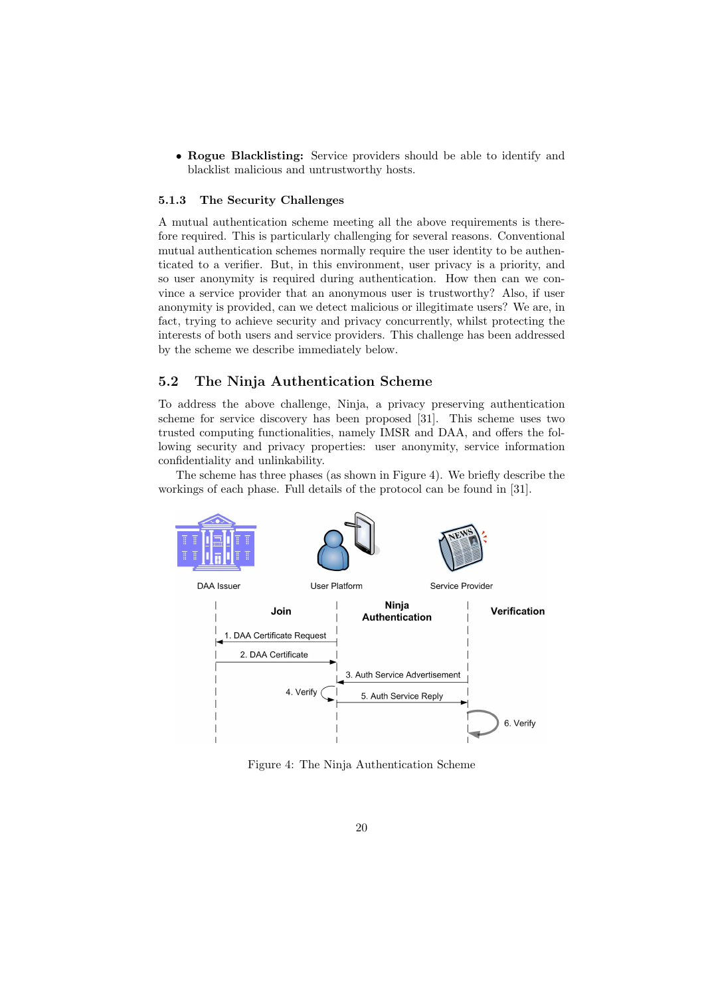• Rogue Blacklisting: Service providers should be able to identify and blacklist malicious and untrustworthy hosts.

# 5.1.3 The Security Challenges

A mutual authentication scheme meeting all the above requirements is therefore required. This is particularly challenging for several reasons. Conventional mutual authentication schemes normally require the user identity to be authenticated to a verifier. But, in this environment, user privacy is a priority, and so user anonymity is required during authentication. How then can we convince a service provider that an anonymous user is trustworthy? Also, if user anonymity is provided, can we detect malicious or illegitimate users? We are, in fact, trying to achieve security and privacy concurrently, whilst protecting the interests of both users and service providers. This challenge has been addressed by the scheme we describe immediately below.

# 5.2 The Ninja Authentication Scheme

To address the above challenge, Ninja, a privacy preserving authentication scheme for service discovery has been proposed [31]. This scheme uses two trusted computing functionalities, namely IMSR and DAA, and offers the following security and privacy properties: user anonymity, service information confidentiality and unlinkability.

The scheme has three phases (as shown in Figure 4). We briefly describe the workings of each phase. Full details of the protocol can be found in [31].



Figure 4: The Ninja Authentication Scheme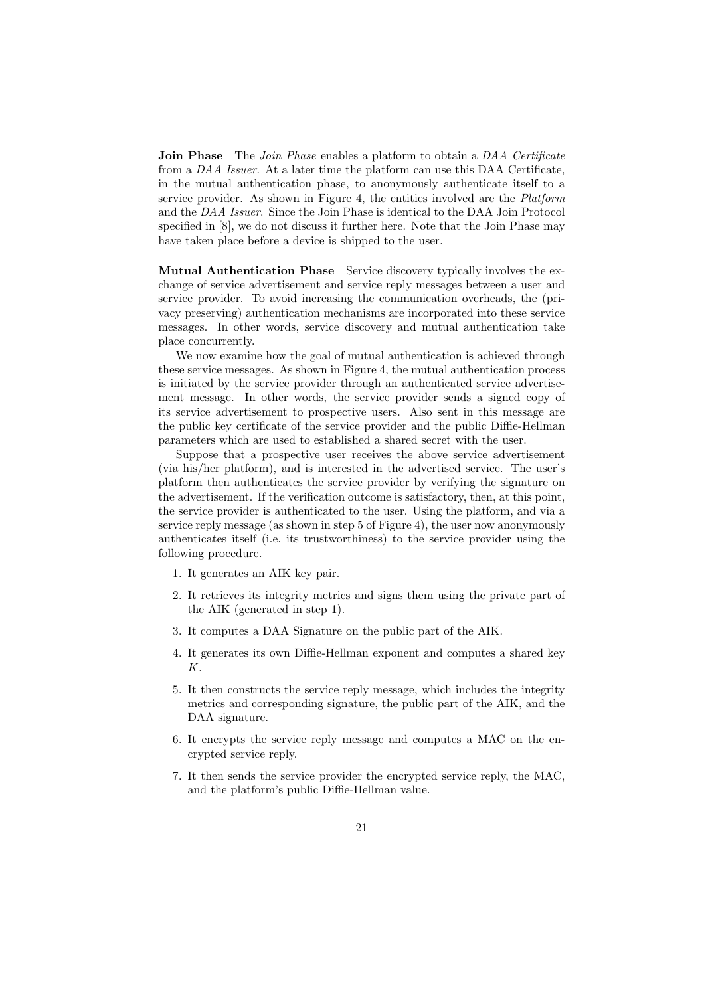**Join Phase** The *Join Phase* enables a platform to obtain a DAA Certificate from a DAA Issuer. At a later time the platform can use this DAA Certificate, in the mutual authentication phase, to anonymously authenticate itself to a service provider. As shown in Figure 4, the entities involved are the *Platform* and the DAA Issuer. Since the Join Phase is identical to the DAA Join Protocol specified in [8], we do not discuss it further here. Note that the Join Phase may have taken place before a device is shipped to the user.

Mutual Authentication Phase Service discovery typically involves the exchange of service advertisement and service reply messages between a user and service provider. To avoid increasing the communication overheads, the (privacy preserving) authentication mechanisms are incorporated into these service messages. In other words, service discovery and mutual authentication take place concurrently.

We now examine how the goal of mutual authentication is achieved through these service messages. As shown in Figure 4, the mutual authentication process is initiated by the service provider through an authenticated service advertisement message. In other words, the service provider sends a signed copy of its service advertisement to prospective users. Also sent in this message are the public key certificate of the service provider and the public Diffie-Hellman parameters which are used to established a shared secret with the user.

Suppose that a prospective user receives the above service advertisement (via his/her platform), and is interested in the advertised service. The user's platform then authenticates the service provider by verifying the signature on the advertisement. If the verification outcome is satisfactory, then, at this point, the service provider is authenticated to the user. Using the platform, and via a service reply message (as shown in step 5 of Figure 4), the user now anonymously authenticates itself (i.e. its trustworthiness) to the service provider using the following procedure.

- 1. It generates an AIK key pair.
- 2. It retrieves its integrity metrics and signs them using the private part of the AIK (generated in step 1).
- 3. It computes a DAA Signature on the public part of the AIK.
- 4. It generates its own Diffie-Hellman exponent and computes a shared key K.
- 5. It then constructs the service reply message, which includes the integrity metrics and corresponding signature, the public part of the AIK, and the DAA signature.
- 6. It encrypts the service reply message and computes a MAC on the encrypted service reply.
- 7. It then sends the service provider the encrypted service reply, the MAC, and the platform's public Diffie-Hellman value.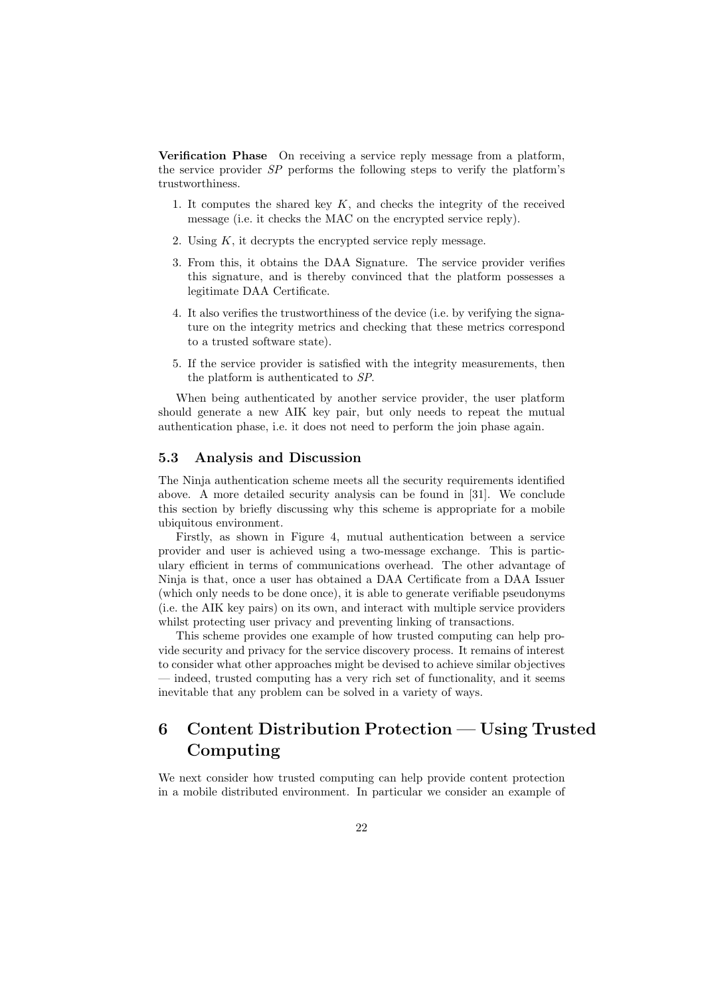Verification Phase On receiving a service reply message from a platform, the service provider SP performs the following steps to verify the platform's trustworthiness.

- 1. It computes the shared key  $K$ , and checks the integrity of the received message (i.e. it checks the MAC on the encrypted service reply).
- 2. Using K, it decrypts the encrypted service reply message.
- 3. From this, it obtains the DAA Signature. The service provider verifies this signature, and is thereby convinced that the platform possesses a legitimate DAA Certificate.
- 4. It also verifies the trustworthiness of the device (i.e. by verifying the signature on the integrity metrics and checking that these metrics correspond to a trusted software state).
- 5. If the service provider is satisfied with the integrity measurements, then the platform is authenticated to SP.

When being authenticated by another service provider, the user platform should generate a new AIK key pair, but only needs to repeat the mutual authentication phase, i.e. it does not need to perform the join phase again.

## 5.3 Analysis and Discussion

The Ninja authentication scheme meets all the security requirements identified above. A more detailed security analysis can be found in [31]. We conclude this section by briefly discussing why this scheme is appropriate for a mobile ubiquitous environment.

Firstly, as shown in Figure 4, mutual authentication between a service provider and user is achieved using a two-message exchange. This is particulary efficient in terms of communications overhead. The other advantage of Ninja is that, once a user has obtained a DAA Certificate from a DAA Issuer (which only needs to be done once), it is able to generate verifiable pseudonyms (i.e. the AIK key pairs) on its own, and interact with multiple service providers whilst protecting user privacy and preventing linking of transactions.

This scheme provides one example of how trusted computing can help provide security and privacy for the service discovery process. It remains of interest to consider what other approaches might be devised to achieve similar objectives — indeed, trusted computing has a very rich set of functionality, and it seems inevitable that any problem can be solved in a variety of ways.

# 6 Content Distribution Protection — Using Trusted Computing

We next consider how trusted computing can help provide content protection in a mobile distributed environment. In particular we consider an example of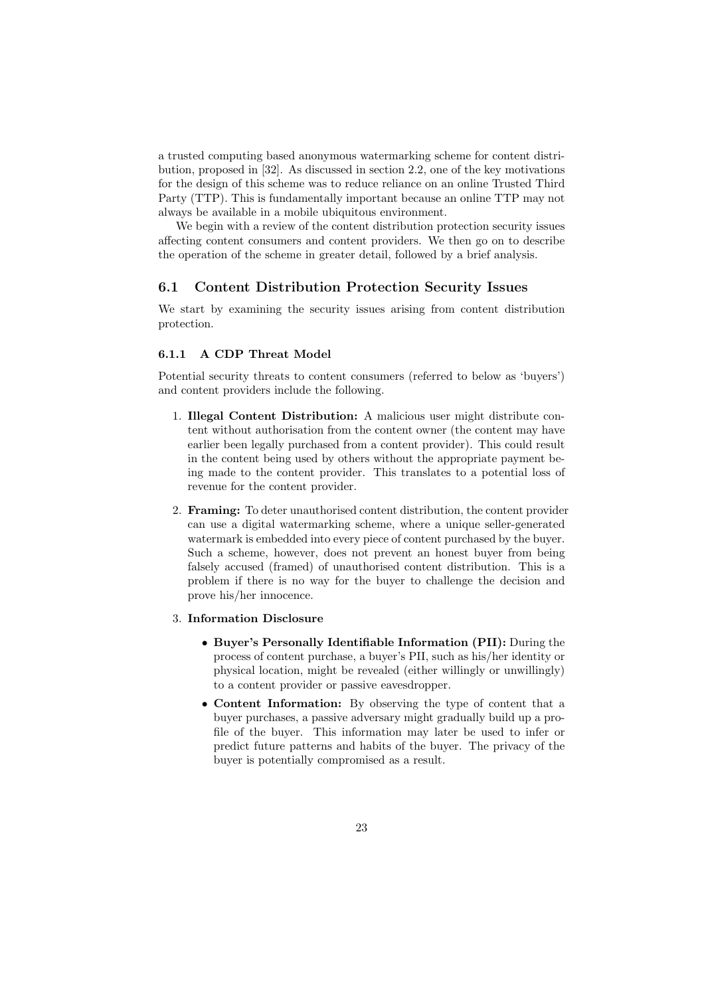a trusted computing based anonymous watermarking scheme for content distribution, proposed in [32]. As discussed in section 2.2, one of the key motivations for the design of this scheme was to reduce reliance on an online Trusted Third Party (TTP). This is fundamentally important because an online TTP may not always be available in a mobile ubiquitous environment.

We begin with a review of the content distribution protection security issues affecting content consumers and content providers. We then go on to describe the operation of the scheme in greater detail, followed by a brief analysis.

# 6.1 Content Distribution Protection Security Issues

We start by examining the security issues arising from content distribution protection.

# 6.1.1 A CDP Threat Model

Potential security threats to content consumers (referred to below as 'buyers') and content providers include the following.

- 1. Illegal Content Distribution: A malicious user might distribute content without authorisation from the content owner (the content may have earlier been legally purchased from a content provider). This could result in the content being used by others without the appropriate payment being made to the content provider. This translates to a potential loss of revenue for the content provider.
- 2. Framing: To deter unauthorised content distribution, the content provider can use a digital watermarking scheme, where a unique seller-generated watermark is embedded into every piece of content purchased by the buyer. Such a scheme, however, does not prevent an honest buyer from being falsely accused (framed) of unauthorised content distribution. This is a problem if there is no way for the buyer to challenge the decision and prove his/her innocence.
- 3. Information Disclosure
	- Buyer's Personally Identifiable Information (PII): During the process of content purchase, a buyer's PII, such as his/her identity or physical location, might be revealed (either willingly or unwillingly) to a content provider or passive eavesdropper.
	- Content Information: By observing the type of content that a buyer purchases, a passive adversary might gradually build up a profile of the buyer. This information may later be used to infer or predict future patterns and habits of the buyer. The privacy of the buyer is potentially compromised as a result.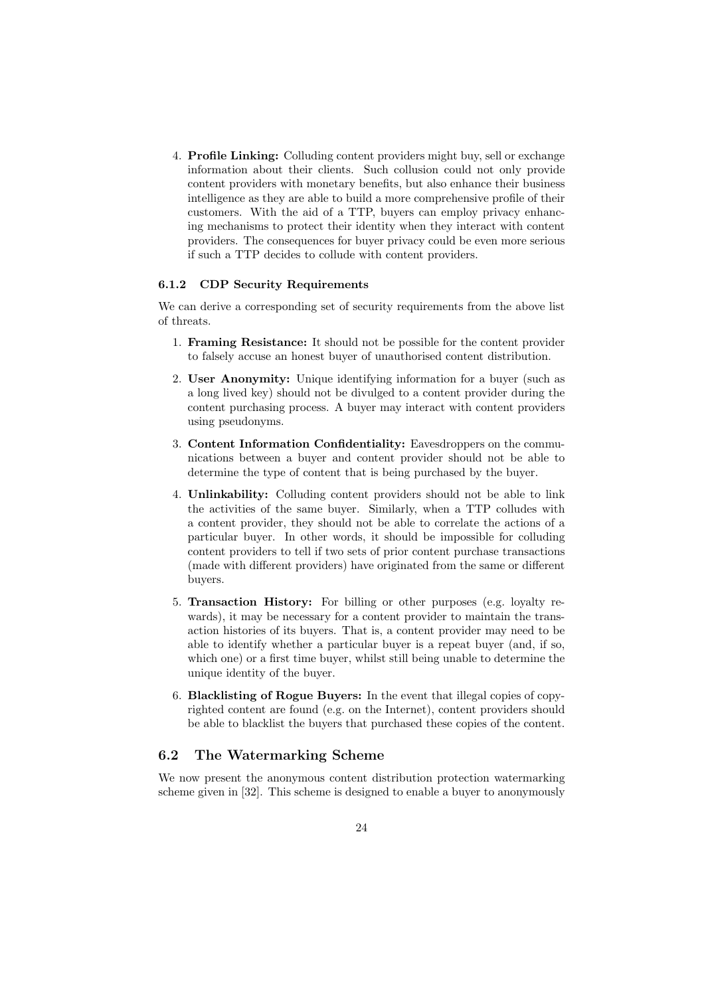4. Profile Linking: Colluding content providers might buy, sell or exchange information about their clients. Such collusion could not only provide content providers with monetary benefits, but also enhance their business intelligence as they are able to build a more comprehensive profile of their customers. With the aid of a TTP, buyers can employ privacy enhancing mechanisms to protect their identity when they interact with content providers. The consequences for buyer privacy could be even more serious if such a TTP decides to collude with content providers.

### 6.1.2 CDP Security Requirements

We can derive a corresponding set of security requirements from the above list of threats.

- 1. Framing Resistance: It should not be possible for the content provider to falsely accuse an honest buyer of unauthorised content distribution.
- 2. User Anonymity: Unique identifying information for a buyer (such as a long lived key) should not be divulged to a content provider during the content purchasing process. A buyer may interact with content providers using pseudonyms.
- 3. Content Information Confidentiality: Eavesdroppers on the communications between a buyer and content provider should not be able to determine the type of content that is being purchased by the buyer.
- 4. Unlinkability: Colluding content providers should not be able to link the activities of the same buyer. Similarly, when a TTP colludes with a content provider, they should not be able to correlate the actions of a particular buyer. In other words, it should be impossible for colluding content providers to tell if two sets of prior content purchase transactions (made with different providers) have originated from the same or different buyers.
- 5. Transaction History: For billing or other purposes (e.g. loyalty rewards), it may be necessary for a content provider to maintain the transaction histories of its buyers. That is, a content provider may need to be able to identify whether a particular buyer is a repeat buyer (and, if so, which one) or a first time buyer, whilst still being unable to determine the unique identity of the buyer.
- 6. Blacklisting of Rogue Buyers: In the event that illegal copies of copyrighted content are found (e.g. on the Internet), content providers should be able to blacklist the buyers that purchased these copies of the content.

# 6.2 The Watermarking Scheme

We now present the anonymous content distribution protection watermarking scheme given in [32]. This scheme is designed to enable a buyer to anonymously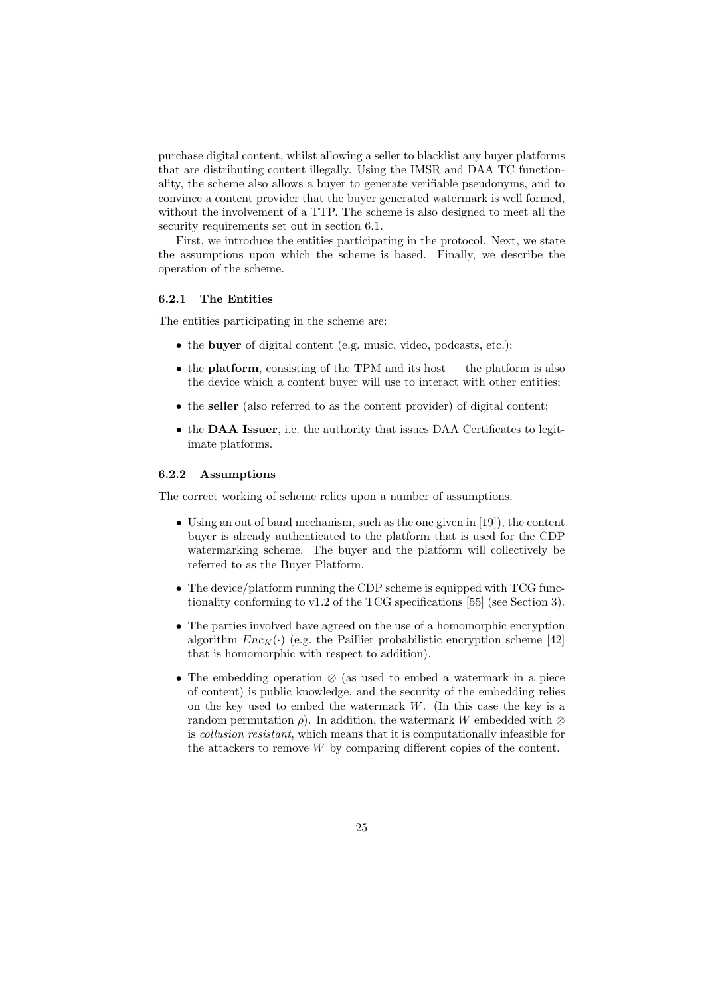purchase digital content, whilst allowing a seller to blacklist any buyer platforms that are distributing content illegally. Using the IMSR and DAA TC functionality, the scheme also allows a buyer to generate verifiable pseudonyms, and to convince a content provider that the buyer generated watermark is well formed, without the involvement of a TTP. The scheme is also designed to meet all the security requirements set out in section 6.1.

First, we introduce the entities participating in the protocol. Next, we state the assumptions upon which the scheme is based. Finally, we describe the operation of the scheme.

#### 6.2.1 The Entities

The entities participating in the scheme are:

- the **buyer** of digital content (e.g. music, video, podcasts, etc.);
- the **platform**, consisting of the TPM and its host the platform is also the device which a content buyer will use to interact with other entities;
- the **seller** (also referred to as the content provider) of digital content;
- the **DAA** Issuer, i.e. the authority that issues DAA Certificates to legitimate platforms.

### 6.2.2 Assumptions

The correct working of scheme relies upon a number of assumptions.

- Using an out of band mechanism, such as the one given in [19]), the content buyer is already authenticated to the platform that is used for the CDP watermarking scheme. The buyer and the platform will collectively be referred to as the Buyer Platform.
- The device/platform running the CDP scheme is equipped with TCG functionality conforming to v1.2 of the TCG specifications [55] (see Section 3).
- The parties involved have agreed on the use of a homomorphic encryption algorithm  $Enc_K(\cdot)$  (e.g. the Paillier probabilistic encryption scheme [42] that is homomorphic with respect to addition).
- The embedding operation ⊗ (as used to embed a watermark in a piece of content) is public knowledge, and the security of the embedding relies on the key used to embed the watermark  $W$ . (In this case the key is a random permutation  $\rho$ ). In addition, the watermark W embedded with ⊗ is collusion resistant, which means that it is computationally infeasible for the attackers to remove  $W$  by comparing different copies of the content.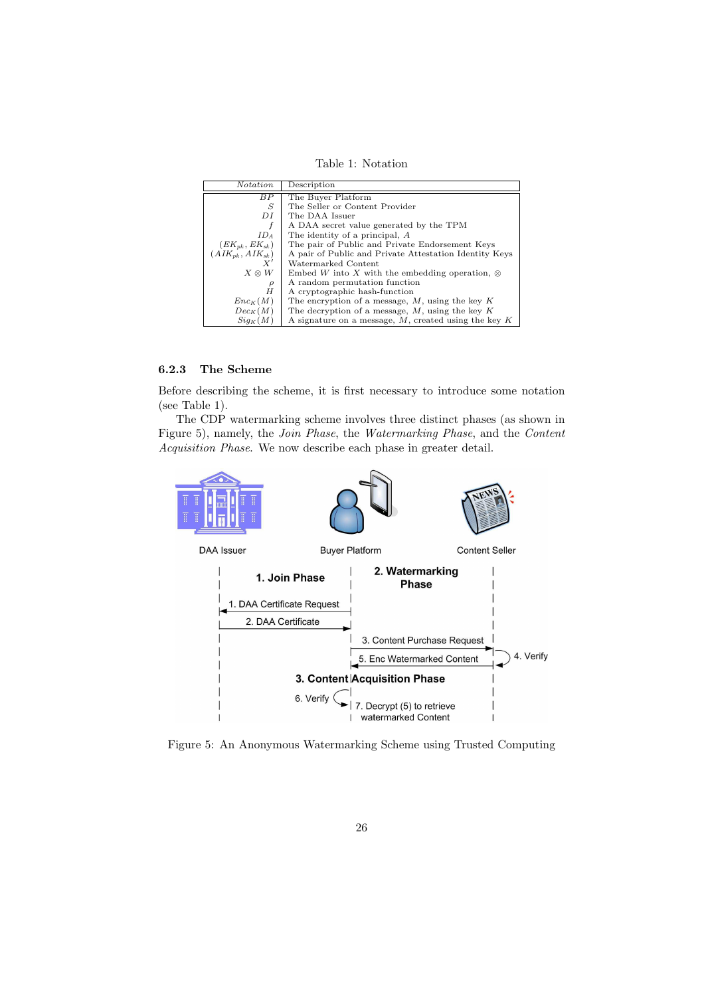Table 1: Notation

| <i>Notation</i>        | Description                                               |
|------------------------|-----------------------------------------------------------|
| BP                     | The Buyer Platform                                        |
| S                      | The Seller or Content Provider                            |
| DI                     | The DAA Issuer                                            |
| f                      | A DAA secret value generated by the TPM                   |
| ID <sub>A</sub>        | The identity of a principal, A                            |
| $(EK_{pk}, EK_{sk})$   | The pair of Public and Private Endorsement Keys           |
| $(AIK_{pk}, AIK_{sk})$ | A pair of Public and Private Attestation Identity Keys    |
|                        | Watermarked Content                                       |
| $X \otimes W$          | Embed W into X with the embedding operation, $\otimes$    |
| $\rho$                 | A random permutation function                             |
| H                      | A cryptographic hash-function                             |
| $Enc_K(M)$             | The encryption of a message, $M$ , using the key $K$      |
| $Dec_K(M)$             | The decryption of a message, $M$ , using the key $K$      |
| $Sig_K(M)$             | A signature on a message, $M$ , created using the key $K$ |

# 6.2.3 The Scheme

Before describing the scheme, it is first necessary to introduce some notation (see Table 1).

The CDP watermarking scheme involves three distinct phases (as shown in Figure 5), namely, the Join Phase, the Watermarking Phase, and the Content Acquisition Phase. We now describe each phase in greater detail.



Figure 5: An Anonymous Watermarking Scheme using Trusted Computing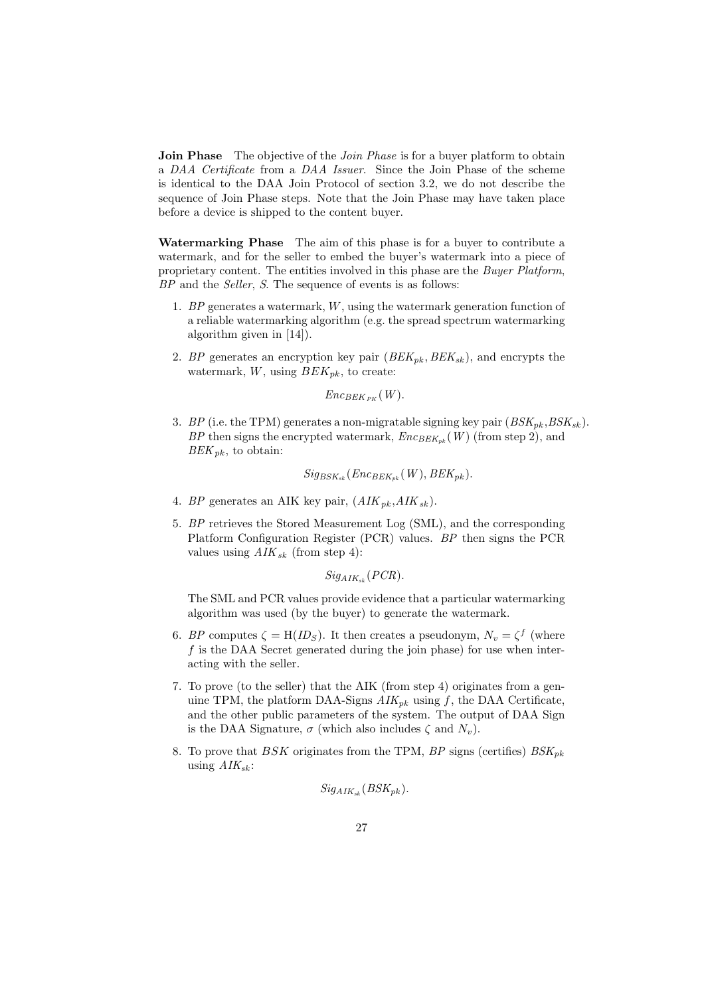**Join Phase** The objective of the *Join Phase* is for a buyer platform to obtain a DAA Certificate from a DAA Issuer. Since the Join Phase of the scheme is identical to the DAA Join Protocol of section 3.2, we do not describe the sequence of Join Phase steps. Note that the Join Phase may have taken place before a device is shipped to the content buyer.

Watermarking Phase The aim of this phase is for a buyer to contribute a watermark, and for the seller to embed the buyer's watermark into a piece of proprietary content. The entities involved in this phase are the Buyer Platform, BP and the Seller, S. The sequence of events is as follows:

- 1. BP generates a watermark, W, using the watermark generation function of a reliable watermarking algorithm (e.g. the spread spectrum watermarking algorithm given in [14]).
- 2. BP generates an encryption key pair  $(BEK_{nk}, BEK_{sk})$ , and encrypts the watermark,  $W$ , using  $BEK_{pk}$ , to create:

$$
Enc_{BEK_{PK}}(W).
$$

3. BP (i.e. the TPM) generates a non-migratable signing key pair  $(BSK_{pk}, BSK_{sk})$ . BP then signs the encrypted watermark,  $Enc_{BEK_{nk}}(W)$  (from step 2), and  $BEK_{pk}$ , to obtain:

$$
Sig_{BSK_{sk}}(Enc_{BEK_{pk}}(W), BEK_{pk}).
$$

- 4. BP generates an AIK key pair,  $(AIK_{pk}, AIK_{sk}).$
- 5. BP retrieves the Stored Measurement Log (SML), and the corresponding Platform Configuration Register (PCR) values. BP then signs the PCR values using  $AIK_{sk}$  (from step 4):

$$
Sig_{AIK_{sk}}(PCR).
$$

The SML and PCR values provide evidence that a particular watermarking algorithm was used (by the buyer) to generate the watermark.

- 6. BP computes  $\zeta = H(ID_S)$ . It then creates a pseudonym,  $N_v = \zeta^f$  (where f is the DAA Secret generated during the join phase) for use when interacting with the seller.
- 7. To prove (to the seller) that the AIK (from step 4) originates from a genuine TPM, the platform DAA-Signs  $AIK_{pk}$  using f, the DAA Certificate, and the other public parameters of the system. The output of DAA Sign is the DAA Signature,  $\sigma$  (which also includes  $\zeta$  and  $N_v$ ).
- 8. To prove that BSK originates from the TPM, BP signs (certifies)  $BSK_{pk}$ using  $AIK_{sk}$ :

$$
Sig_{AIK_{sk}}(BSK_{pk}).
$$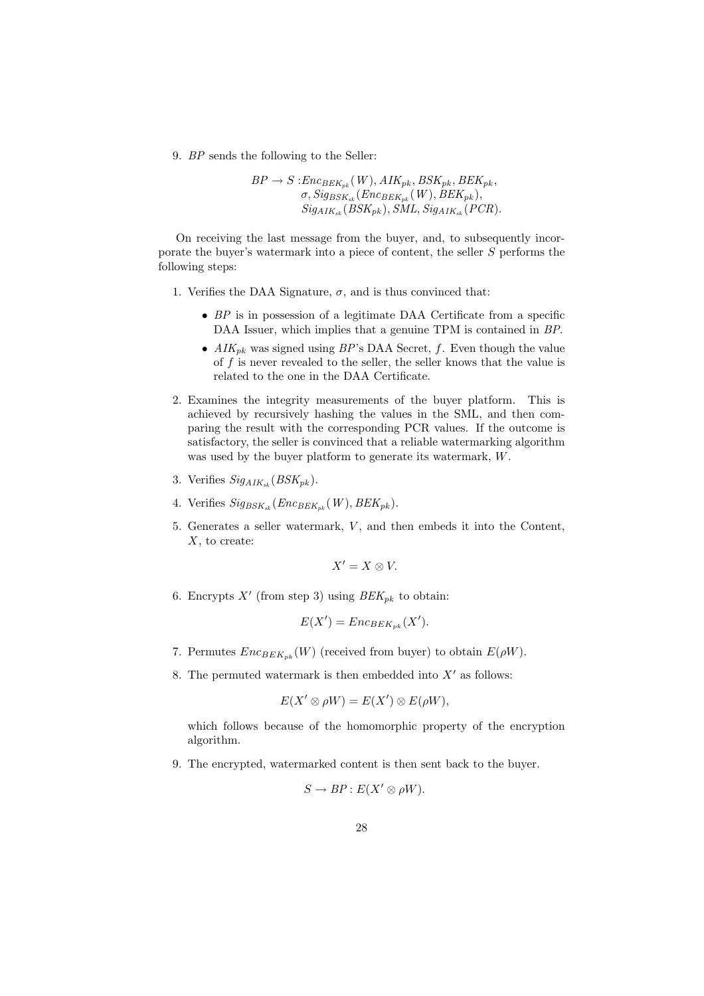9. BP sends the following to the Seller:

 $BP \rightarrow S: Enc_{BEK_{pk}}(W), AIK_{pk}, BSK_{pk}, BEK_{pk},$  $\sigma$ ,  $Sig_{BSK_{sk}}$  (Enc<sub>BEK<sub>pk</sub> (W), BEK<sub>pk</sub>),</sub>  $Sig_{AIK_{sk}}(BSK_{pk}), SML, Sig_{AIK_{sk}}(PCR).$ 

On receiving the last message from the buyer, and, to subsequently incorporate the buyer's watermark into a piece of content, the seller S performs the following steps:

- 1. Verifies the DAA Signature,  $\sigma$ , and is thus convinced that:
	- BP is in possession of a legitimate DAA Certificate from a specific DAA Issuer, which implies that a genuine TPM is contained in BP.
	- $AIK_{pk}$  was signed using  $BP$ 's DAA Secret, f. Even though the value of  $f$  is never revealed to the seller, the seller knows that the value is related to the one in the DAA Certificate.
- 2. Examines the integrity measurements of the buyer platform. This is achieved by recursively hashing the values in the SML, and then comparing the result with the corresponding PCR values. If the outcome is satisfactory, the seller is convinced that a reliable watermarking algorithm was used by the buyer platform to generate its watermark, W.
- 3. Verifies  $Sig_{AIK_{ck}}(BSK_{pk})$ .
- 4. Verifies  $Sig_{BSK_{sk}}(Enc_{BEK_{pk}}(W), BEK_{pk})$ .
- 5. Generates a seller watermark, V , and then embeds it into the Content,  $X$ , to create:

$$
X'=X\otimes V.
$$

6. Encrypts  $X'$  (from step 3) using  $BEK_{pk}$  to obtain:

$$
E(X') = Enc_{BEK_{pk}}(X').
$$

- 7. Permutes  $Enc_{BEK_{nk}}(W)$  (received from buyer) to obtain  $E(\rho W)$ .
- 8. The permuted watermark is then embedded into  $X'$  as follows:

$$
E(X' \otimes \rho W) = E(X') \otimes E(\rho W),
$$

which follows because of the homomorphic property of the encryption algorithm.

9. The encrypted, watermarked content is then sent back to the buyer.

$$
S \to BP : E(X' \otimes \rho W).
$$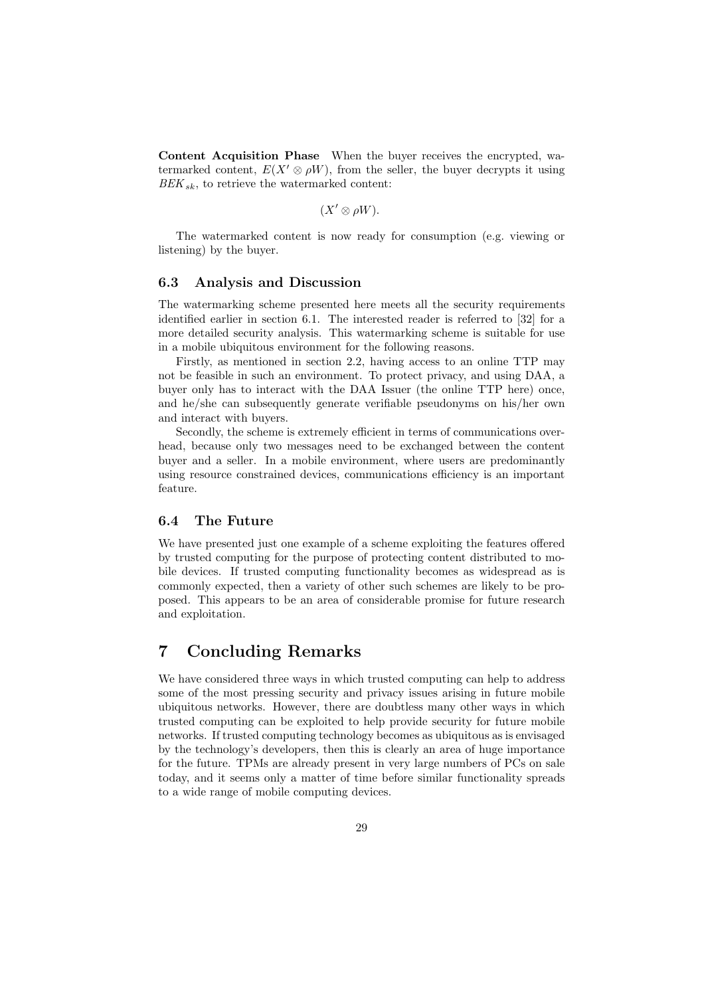Content Acquisition Phase When the buyer receives the encrypted, watermarked content,  $E(X' \otimes \rho W)$ , from the seller, the buyer decrypts it using  $BEK_{sk}$ , to retrieve the watermarked content:

$$
(X' \otimes \rho W).
$$

The watermarked content is now ready for consumption (e.g. viewing or listening) by the buyer.

# 6.3 Analysis and Discussion

The watermarking scheme presented here meets all the security requirements identified earlier in section 6.1. The interested reader is referred to [32] for a more detailed security analysis. This watermarking scheme is suitable for use in a mobile ubiquitous environment for the following reasons.

Firstly, as mentioned in section 2.2, having access to an online TTP may not be feasible in such an environment. To protect privacy, and using DAA, a buyer only has to interact with the DAA Issuer (the online TTP here) once, and he/she can subsequently generate verifiable pseudonyms on his/her own and interact with buyers.

Secondly, the scheme is extremely efficient in terms of communications overhead, because only two messages need to be exchanged between the content buyer and a seller. In a mobile environment, where users are predominantly using resource constrained devices, communications efficiency is an important feature.

### 6.4 The Future

We have presented just one example of a scheme exploiting the features offered by trusted computing for the purpose of protecting content distributed to mobile devices. If trusted computing functionality becomes as widespread as is commonly expected, then a variety of other such schemes are likely to be proposed. This appears to be an area of considerable promise for future research and exploitation.

# 7 Concluding Remarks

We have considered three ways in which trusted computing can help to address some of the most pressing security and privacy issues arising in future mobile ubiquitous networks. However, there are doubtless many other ways in which trusted computing can be exploited to help provide security for future mobile networks. If trusted computing technology becomes as ubiquitous as is envisaged by the technology's developers, then this is clearly an area of huge importance for the future. TPMs are already present in very large numbers of PCs on sale today, and it seems only a matter of time before similar functionality spreads to a wide range of mobile computing devices.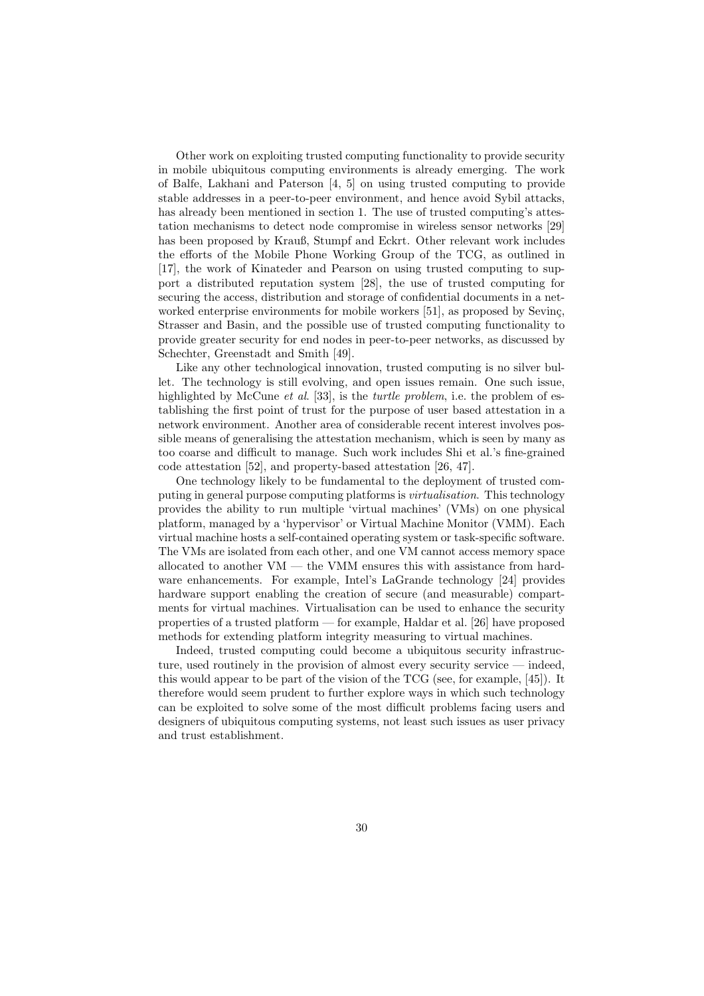Other work on exploiting trusted computing functionality to provide security in mobile ubiquitous computing environments is already emerging. The work of Balfe, Lakhani and Paterson [4, 5] on using trusted computing to provide stable addresses in a peer-to-peer environment, and hence avoid Sybil attacks, has already been mentioned in section 1. The use of trusted computing's attestation mechanisms to detect node compromise in wireless sensor networks [29] has been proposed by Krauß, Stumpf and Eckrt. Other relevant work includes the efforts of the Mobile Phone Working Group of the TCG, as outlined in [17], the work of Kinateder and Pearson on using trusted computing to support a distributed reputation system [28], the use of trusted computing for securing the access, distribution and storage of confidential documents in a networked enterprise environments for mobile workers [51], as proposed by Seving, Strasser and Basin, and the possible use of trusted computing functionality to provide greater security for end nodes in peer-to-peer networks, as discussed by Schechter, Greenstadt and Smith [49].

Like any other technological innovation, trusted computing is no silver bullet. The technology is still evolving, and open issues remain. One such issue, highlighted by McCune *et al.* [33], is the *turtle problem*, i.e. the problem of establishing the first point of trust for the purpose of user based attestation in a network environment. Another area of considerable recent interest involves possible means of generalising the attestation mechanism, which is seen by many as too coarse and difficult to manage. Such work includes Shi et al.'s fine-grained code attestation [52], and property-based attestation [26, 47].

One technology likely to be fundamental to the deployment of trusted computing in general purpose computing platforms is virtualisation. This technology provides the ability to run multiple 'virtual machines' (VMs) on one physical platform, managed by a 'hypervisor' or Virtual Machine Monitor (VMM). Each virtual machine hosts a self-contained operating system or task-specific software. The VMs are isolated from each other, and one VM cannot access memory space allocated to another VM — the VMM ensures this with assistance from hardware enhancements. For example, Intel's LaGrande technology [24] provides hardware support enabling the creation of secure (and measurable) compartments for virtual machines. Virtualisation can be used to enhance the security properties of a trusted platform — for example, Haldar et al. [26] have proposed methods for extending platform integrity measuring to virtual machines.

Indeed, trusted computing could become a ubiquitous security infrastructure, used routinely in the provision of almost every security service — indeed, this would appear to be part of the vision of the TCG (see, for example, [45]). It therefore would seem prudent to further explore ways in which such technology can be exploited to solve some of the most difficult problems facing users and designers of ubiquitous computing systems, not least such issues as user privacy and trust establishment.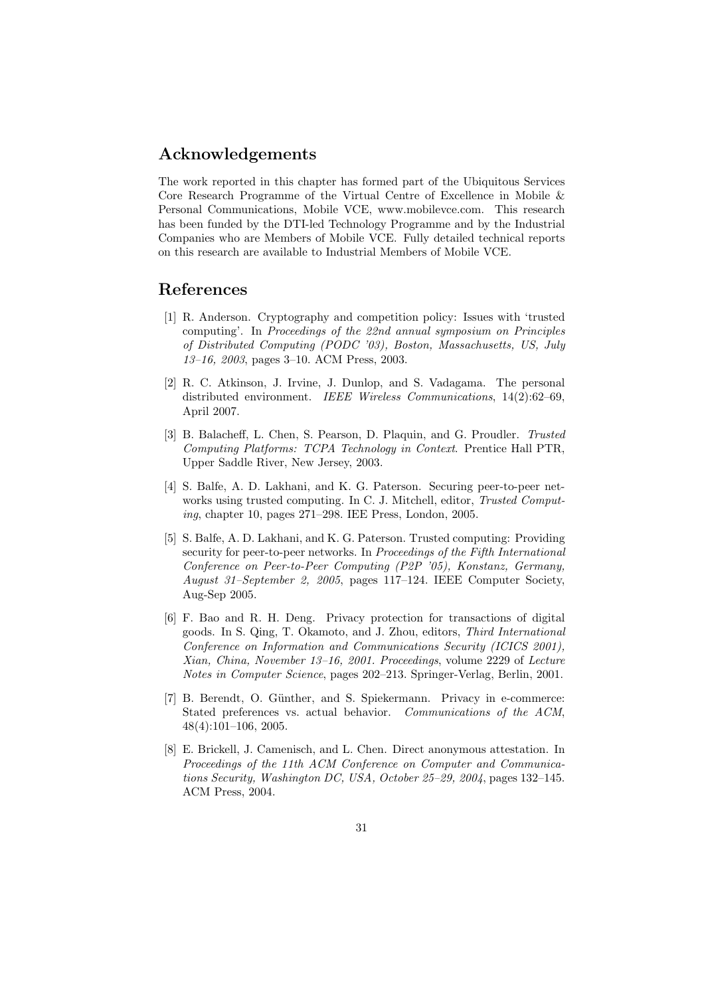# Acknowledgements

The work reported in this chapter has formed part of the Ubiquitous Services Core Research Programme of the Virtual Centre of Excellence in Mobile & Personal Communications, Mobile VCE, www.mobilevce.com. This research has been funded by the DTI-led Technology Programme and by the Industrial Companies who are Members of Mobile VCE. Fully detailed technical reports on this research are available to Industrial Members of Mobile VCE.

# References

- [1] R. Anderson. Cryptography and competition policy: Issues with 'trusted computing'. In Proceedings of the 22nd annual symposium on Principles of Distributed Computing (PODC '03), Boston, Massachusetts, US, July 13–16, 2003, pages 3–10. ACM Press, 2003.
- [2] R. C. Atkinson, J. Irvine, J. Dunlop, and S. Vadagama. The personal distributed environment. IEEE Wireless Communications, 14(2):62-69, April 2007.
- [3] B. Balacheff, L. Chen, S. Pearson, D. Plaquin, and G. Proudler. Trusted Computing Platforms: TCPA Technology in Context. Prentice Hall PTR, Upper Saddle River, New Jersey, 2003.
- [4] S. Balfe, A. D. Lakhani, and K. G. Paterson. Securing peer-to-peer networks using trusted computing. In C. J. Mitchell, editor, Trusted Computing, chapter 10, pages 271–298. IEE Press, London, 2005.
- [5] S. Balfe, A. D. Lakhani, and K. G. Paterson. Trusted computing: Providing security for peer-to-peer networks. In Proceedings of the Fifth International Conference on Peer-to-Peer Computing (P2P '05), Konstanz, Germany, August 31–September 2, 2005, pages 117–124. IEEE Computer Society, Aug-Sep 2005.
- [6] F. Bao and R. H. Deng. Privacy protection for transactions of digital goods. In S. Qing, T. Okamoto, and J. Zhou, editors, Third International Conference on Information and Communications Security (ICICS 2001), Xian, China, November 13–16, 2001. Proceedings, volume 2229 of Lecture Notes in Computer Science, pages 202–213. Springer-Verlag, Berlin, 2001.
- [7] B. Berendt, O. Günther, and S. Spiekermann. Privacy in e-commerce: Stated preferences vs. actual behavior. Communications of the ACM, 48(4):101–106, 2005.
- [8] E. Brickell, J. Camenisch, and L. Chen. Direct anonymous attestation. In Proceedings of the 11th ACM Conference on Computer and Communications Security, Washington DC, USA, October 25–29, 2004, pages 132–145. ACM Press, 2004.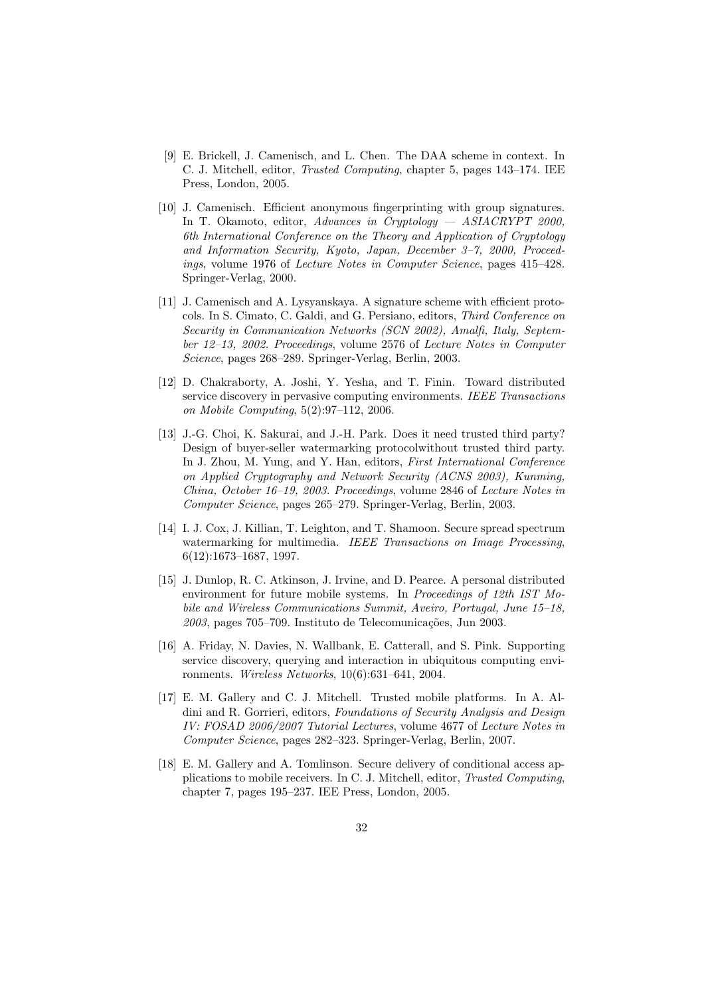- [9] E. Brickell, J. Camenisch, and L. Chen. The DAA scheme in context. In C. J. Mitchell, editor, Trusted Computing, chapter 5, pages 143–174. IEE Press, London, 2005.
- [10] J. Camenisch. Efficient anonymous fingerprinting with group signatures. In T. Okamoto, editor, Advances in Cryptology — ASIACRYPT 2000, 6th International Conference on the Theory and Application of Cryptology and Information Security, Kyoto, Japan, December 3–7, 2000, Proceedings, volume 1976 of Lecture Notes in Computer Science, pages 415–428. Springer-Verlag, 2000.
- [11] J. Camenisch and A. Lysyanskaya. A signature scheme with efficient protocols. In S. Cimato, C. Galdi, and G. Persiano, editors, Third Conference on Security in Communication Networks (SCN 2002), Amalfi, Italy, September 12–13, 2002. Proceedings, volume 2576 of Lecture Notes in Computer Science, pages 268–289. Springer-Verlag, Berlin, 2003.
- [12] D. Chakraborty, A. Joshi, Y. Yesha, and T. Finin. Toward distributed service discovery in pervasive computing environments. IEEE Transactions on Mobile Computing, 5(2):97–112, 2006.
- [13] J.-G. Choi, K. Sakurai, and J.-H. Park. Does it need trusted third party? Design of buyer-seller watermarking protocolwithout trusted third party. In J. Zhou, M. Yung, and Y. Han, editors, First International Conference on Applied Cryptography and Network Security (ACNS 2003), Kunming, China, October 16–19, 2003. Proceedings, volume 2846 of Lecture Notes in Computer Science, pages 265–279. Springer-Verlag, Berlin, 2003.
- [14] I. J. Cox, J. Killian, T. Leighton, and T. Shamoon. Secure spread spectrum watermarking for multimedia. IEEE Transactions on Image Processing, 6(12):1673–1687, 1997.
- [15] J. Dunlop, R. C. Atkinson, J. Irvine, and D. Pearce. A personal distributed environment for future mobile systems. In *Proceedings of 12th IST Mo*bile and Wireless Communications Summit, Aveiro, Portugal, June 15–18,  $2003$ , pages  $705-709$ . Instituto de Telecomunicações, Jun 2003.
- [16] A. Friday, N. Davies, N. Wallbank, E. Catterall, and S. Pink. Supporting service discovery, querying and interaction in ubiquitous computing environments. Wireless Networks, 10(6):631–641, 2004.
- [17] E. M. Gallery and C. J. Mitchell. Trusted mobile platforms. In A. Aldini and R. Gorrieri, editors, Foundations of Security Analysis and Design IV: FOSAD 2006/2007 Tutorial Lectures, volume 4677 of Lecture Notes in Computer Science, pages 282–323. Springer-Verlag, Berlin, 2007.
- [18] E. M. Gallery and A. Tomlinson. Secure delivery of conditional access applications to mobile receivers. In C. J. Mitchell, editor, Trusted Computing, chapter 7, pages 195–237. IEE Press, London, 2005.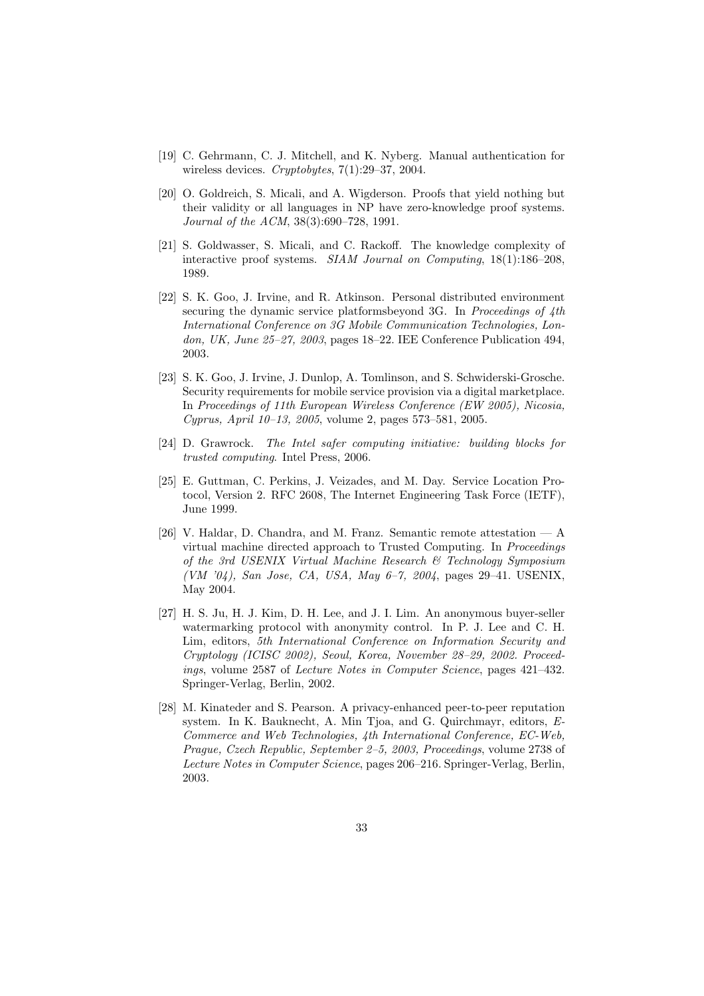- [19] C. Gehrmann, C. J. Mitchell, and K. Nyberg. Manual authentication for wireless devices. Cryptobytes, 7(1):29–37, 2004.
- [20] O. Goldreich, S. Micali, and A. Wigderson. Proofs that yield nothing but their validity or all languages in NP have zero-knowledge proof systems. Journal of the ACM, 38(3):690–728, 1991.
- [21] S. Goldwasser, S. Micali, and C. Rackoff. The knowledge complexity of interactive proof systems. SIAM Journal on Computing, 18(1):186–208, 1989.
- [22] S. K. Goo, J. Irvine, and R. Atkinson. Personal distributed environment securing the dynamic service platforms beyond 3G. In *Proceedings of 4th* International Conference on 3G Mobile Communication Technologies, London, UK, June 25–27, 2003, pages 18–22. IEE Conference Publication 494, 2003.
- [23] S. K. Goo, J. Irvine, J. Dunlop, A. Tomlinson, and S. Schwiderski-Grosche. Security requirements for mobile service provision via a digital marketplace. In Proceedings of 11th European Wireless Conference (EW 2005), Nicosia, Cyprus, April 10–13, 2005, volume 2, pages 573–581, 2005.
- [24] D. Grawrock. The Intel safer computing initiative: building blocks for trusted computing. Intel Press, 2006.
- [25] E. Guttman, C. Perkins, J. Veizades, and M. Day. Service Location Protocol, Version 2. RFC 2608, The Internet Engineering Task Force (IETF), June 1999.
- [26] V. Haldar, D. Chandra, and M. Franz. Semantic remote attestation A virtual machine directed approach to Trusted Computing. In Proceedings of the 3rd USENIX Virtual Machine Research & Technology Symposium (VM '04), San Jose, CA, USA, May 6–7, 2004, pages 29–41. USENIX, May 2004.
- [27] H. S. Ju, H. J. Kim, D. H. Lee, and J. I. Lim. An anonymous buyer-seller watermarking protocol with anonymity control. In P. J. Lee and C. H. Lim, editors, 5th International Conference on Information Security and Cryptology (ICISC 2002), Seoul, Korea, November 28–29, 2002. Proceedings, volume 2587 of Lecture Notes in Computer Science, pages 421–432. Springer-Verlag, Berlin, 2002.
- [28] M. Kinateder and S. Pearson. A privacy-enhanced peer-to-peer reputation system. In K. Bauknecht, A. Min Tjoa, and G. Quirchmayr, editors, E-Commerce and Web Technologies, 4th International Conference, EC-Web, Prague, Czech Republic, September 2–5, 2003, Proceedings, volume 2738 of Lecture Notes in Computer Science, pages 206–216. Springer-Verlag, Berlin, 2003.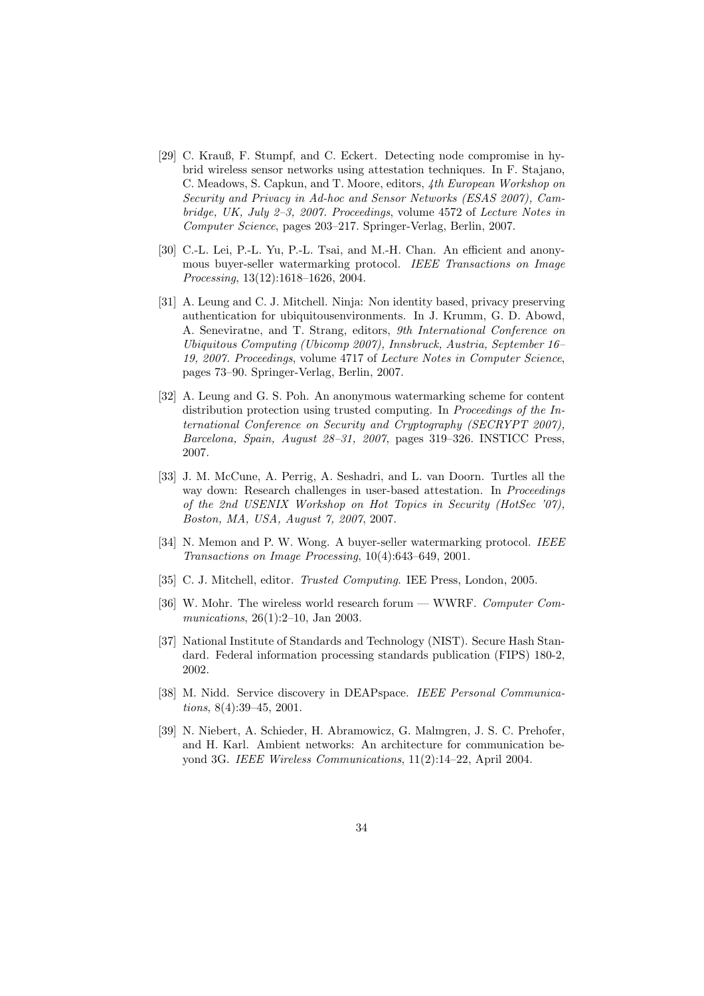- [29] C. Krauß, F. Stumpf, and C. Eckert. Detecting node compromise in hybrid wireless sensor networks using attestation techniques. In F. Stajano, C. Meadows, S. Capkun, and T. Moore, editors, 4th European Workshop on Security and Privacy in Ad-hoc and Sensor Networks (ESAS 2007), Cambridge, UK, July 2–3, 2007. Proceedings, volume 4572 of Lecture Notes in Computer Science, pages 203–217. Springer-Verlag, Berlin, 2007.
- [30] C.-L. Lei, P.-L. Yu, P.-L. Tsai, and M.-H. Chan. An efficient and anonymous buyer-seller watermarking protocol. IEEE Transactions on Image Processing, 13(12):1618–1626, 2004.
- [31] A. Leung and C. J. Mitchell. Ninja: Non identity based, privacy preserving authentication for ubiquitousenvironments. In J. Krumm, G. D. Abowd, A. Seneviratne, and T. Strang, editors, 9th International Conference on Ubiquitous Computing (Ubicomp 2007), Innsbruck, Austria, September 16– 19, 2007. Proceedings, volume 4717 of Lecture Notes in Computer Science, pages 73–90. Springer-Verlag, Berlin, 2007.
- [32] A. Leung and G. S. Poh. An anonymous watermarking scheme for content distribution protection using trusted computing. In Proceedings of the International Conference on Security and Cryptography (SECRYPT 2007), Barcelona, Spain, August 28–31, 2007, pages 319–326. INSTICC Press, 2007.
- [33] J. M. McCune, A. Perrig, A. Seshadri, and L. van Doorn. Turtles all the way down: Research challenges in user-based attestation. In *Proceedings* of the 2nd USENIX Workshop on Hot Topics in Security (HotSec '07), Boston, MA, USA, August 7, 2007, 2007.
- [34] N. Memon and P. W. Wong. A buyer-seller watermarking protocol. IEEE Transactions on Image Processing, 10(4):643–649, 2001.
- [35] C. J. Mitchell, editor. *Trusted Computing*. IEE Press, London, 2005.
- [36] W. Mohr. The wireless world research forum WWRF. Computer Communications, 26(1):2–10, Jan 2003.
- [37] National Institute of Standards and Technology (NIST). Secure Hash Standard. Federal information processing standards publication (FIPS) 180-2, 2002.
- [38] M. Nidd. Service discovery in DEAPspace. IEEE Personal Communications, 8(4):39–45, 2001.
- [39] N. Niebert, A. Schieder, H. Abramowicz, G. Malmgren, J. S. C. Prehofer, and H. Karl. Ambient networks: An architecture for communication beyond 3G. IEEE Wireless Communications, 11(2):14–22, April 2004.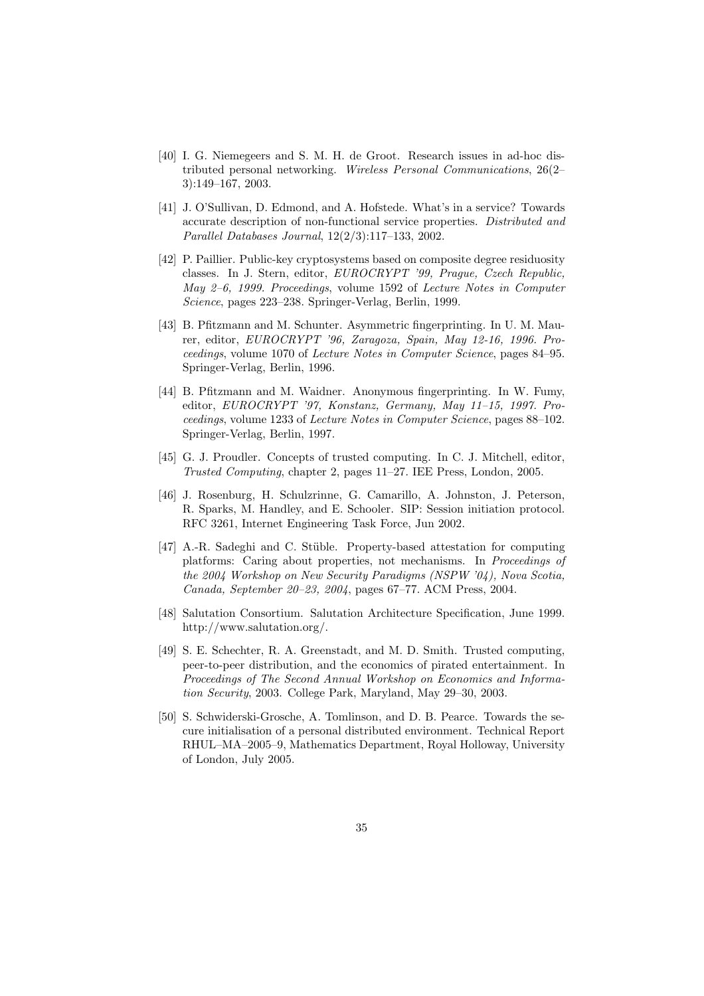- [40] I. G. Niemegeers and S. M. H. de Groot. Research issues in ad-hoc distributed personal networking. Wireless Personal Communications, 26(2– 3):149–167, 2003.
- [41] J. O'Sullivan, D. Edmond, and A. Hofstede. What's in a service? Towards accurate description of non-functional service properties. Distributed and Parallel Databases Journal, 12(2/3):117–133, 2002.
- [42] P. Paillier. Public-key cryptosystems based on composite degree residuosity classes. In J. Stern, editor, EUROCRYPT '99, Prague, Czech Republic, May 2–6, 1999. Proceedings, volume 1592 of Lecture Notes in Computer Science, pages 223–238. Springer-Verlag, Berlin, 1999.
- [43] B. Pfitzmann and M. Schunter. Asymmetric fingerprinting. In U. M. Maurer, editor, EUROCRYPT '96, Zaragoza, Spain, May 12-16, 1996. Proceedings, volume 1070 of Lecture Notes in Computer Science, pages 84–95. Springer-Verlag, Berlin, 1996.
- [44] B. Pfitzmann and M. Waidner. Anonymous fingerprinting. In W. Fumy, editor, EUROCRYPT '97, Konstanz, Germany, May 11–15, 1997. Proceedings, volume 1233 of Lecture Notes in Computer Science, pages 88–102. Springer-Verlag, Berlin, 1997.
- [45] G. J. Proudler. Concepts of trusted computing. In C. J. Mitchell, editor, Trusted Computing, chapter 2, pages 11–27. IEE Press, London, 2005.
- [46] J. Rosenburg, H. Schulzrinne, G. Camarillo, A. Johnston, J. Peterson, R. Sparks, M. Handley, and E. Schooler. SIP: Session initiation protocol. RFC 3261, Internet Engineering Task Force, Jun 2002.
- [47] A.-R. Sadeghi and C. Stüble. Property-based attestation for computing platforms: Caring about properties, not mechanisms. In Proceedings of the 2004 Workshop on New Security Paradigms (NSPW '04), Nova Scotia, Canada, September 20–23, 2004, pages 67–77. ACM Press, 2004.
- [48] Salutation Consortium. Salutation Architecture Specification, June 1999. http://www.salutation.org/.
- [49] S. E. Schechter, R. A. Greenstadt, and M. D. Smith. Trusted computing, peer-to-peer distribution, and the economics of pirated entertainment. In Proceedings of The Second Annual Workshop on Economics and Information Security, 2003. College Park, Maryland, May 29–30, 2003.
- [50] S. Schwiderski-Grosche, A. Tomlinson, and D. B. Pearce. Towards the secure initialisation of a personal distributed environment. Technical Report RHUL–MA–2005–9, Mathematics Department, Royal Holloway, University of London, July 2005.